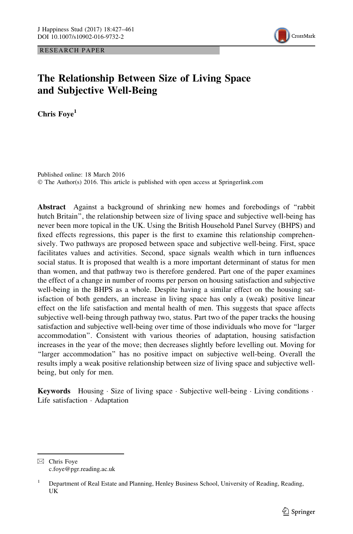RESEARCH PAPER



# The Relationship Between Size of Living Space and Subjective Well-Being

Chris Fove<sup>1</sup>

Published online: 18 March 2016 © The Author(s) 2016. This article is published with open access at Springerlink.com

Abstract Against a background of shrinking new homes and forebodings of ''rabbit hutch Britain'', the relationship between size of living space and subjective well-being has never been more topical in the UK. Using the British Household Panel Survey (BHPS) and fixed effects regressions, this paper is the first to examine this relationship comprehensively. Two pathways are proposed between space and subjective well-being. First, space facilitates values and activities. Second, space signals wealth which in turn influences social status. It is proposed that wealth is a more important determinant of status for men than women, and that pathway two is therefore gendered. Part one of the paper examines the effect of a change in number of rooms per person on housing satisfaction and subjective well-being in the BHPS as a whole. Despite having a similar effect on the housing satisfaction of both genders, an increase in living space has only a (weak) positive linear effect on the life satisfaction and mental health of men. This suggests that space affects subjective well-being through pathway two, status. Part two of the paper tracks the housing satisfaction and subjective well-being over time of those individuals who move for ''larger accommodation''. Consistent with various theories of adaptation, housing satisfaction increases in the year of the move; then decreases slightly before levelling out. Moving for "larger accommodation" has no positive impact on subjective well-being. Overall the results imply a weak positive relationship between size of living space and subjective wellbeing, but only for men.

**Keywords** Housing Size of living space Subjective well-being Living conditions  $\cdot$ Life satisfaction - Adaptation

 $\boxtimes$  Chris Foye c.foye@pgr.reading.ac.uk

<sup>&</sup>lt;sup>1</sup> Department of Real Estate and Planning, Henley Business School, University of Reading, Reading, UK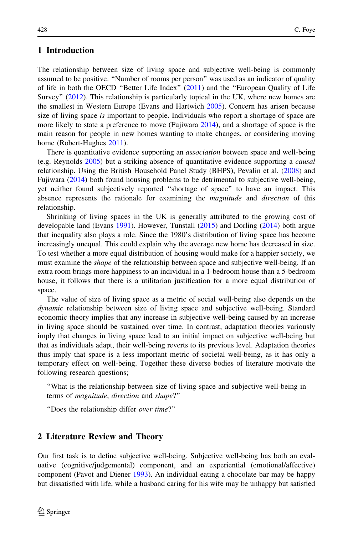# 1 Introduction

The relationship between size of living space and subjective well-being is commonly assumed to be positive. ''Number of rooms per person'' was used as an indicator of quality of life in both the OECD ''Better Life Index'' [\(2011](#page-34-0)) and the ''European Quality of Life Survey'' ([2012\)](#page-33-0). This relationship is particularly topical in the UK, where new homes are the smallest in Western Europe (Evans and Hartwich [2005](#page-33-0)). Concern has arisen because size of living space is important to people. Individuals who report a shortage of space are more likely to state a preference to move (Fujiwara [2014\)](#page-33-0), and a shortage of space is the main reason for people in new homes wanting to make changes, or considering moving home (Robert-Hughes [2011](#page-34-0)).

There is quantitative evidence supporting an *association* between space and well-being (e.g. Reynolds [2005\)](#page-34-0) but a striking absence of quantitative evidence supporting a causal relationship. Using the British Household Panel Study (BHPS), Pevalin et al. ([2008\)](#page-34-0) and Fujiwara ([2014\)](#page-33-0) both found housing problems to be detrimental to subjective well-being, yet neither found subjectively reported ''shortage of space'' to have an impact. This absence represents the rationale for examining the *magnitude* and *direction* of this relationship.

Shrinking of living spaces in the UK is generally attributed to the growing cost of developable land (Evans [1991](#page-33-0)). However, Tunstall [\(2015](#page-34-0)) and Dorling ([2014](#page-33-0)) both argue that inequality also plays a role. Since the 1980's distribution of living space has become increasingly unequal. This could explain why the average new home has decreased in size. To test whether a more equal distribution of housing would make for a happier society, we must examine the *shape* of the relationship between space and subjective well-being. If an extra room brings more happiness to an individual in a 1-bedroom house than a 5-bedroom house, it follows that there is a utilitarian justification for a more equal distribution of space.

The value of size of living space as a metric of social well-being also depends on the dynamic relationship between size of living space and subjective well-being. Standard economic theory implies that any increase in subjective well-being caused by an increase in living space should be sustained over time. In contrast, adaptation theories variously imply that changes in living space lead to an initial impact on subjective well-being but that as individuals adapt, their well-being reverts to its previous level. Adaptation theories thus imply that space is a less important metric of societal well-being, as it has only a temporary effect on well-being. Together these diverse bodies of literature motivate the following research questions;

''What is the relationship between size of living space and subjective well-being in terms of magnitude, direction and shape?''

''Does the relationship differ over time?''

### 2 Literature Review and Theory

Our first task is to define subjective well-being. Subjective well-being has both an evaluative (cognitive/judgemental) component, and an experiential (emotional/affective) component (Pavot and Diener [1993\)](#page-34-0). An individual eating a chocolate bar may be happy but dissatisfied with life, while a husband caring for his wife may be unhappy but satisfied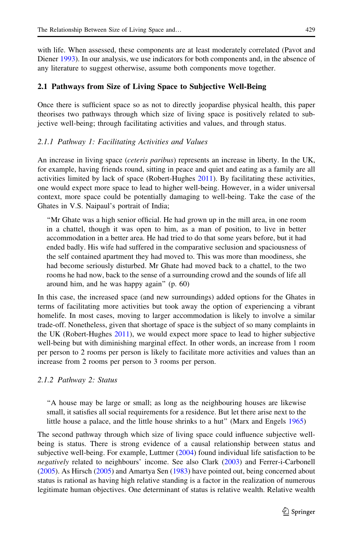with life. When assessed, these components are at least moderately correlated (Pavot and Diener [1993\)](#page-34-0). In our analysis, we use indicators for both components and, in the absence of any literature to suggest otherwise, assume both components move together.

### 2.1 Pathways from Size of Living Space to Subjective Well-Being

Once there is sufficient space so as not to directly jeopardise physical health, this paper theorises two pathways through which size of living space is positively related to subjective well-being; through facilitating activities and values, and through status.

### 2.1.1 Pathway 1: Facilitating Activities and Values

An increase in living space *(ceteris paribus)* represents an increase in liberty. In the UK, for example, having friends round, sitting in peace and quiet and eating as a family are all activities limited by lack of space (Robert-Hughes [2011](#page-34-0)). By facilitating these activities, one would expect more space to lead to higher well-being. However, in a wider universal context, more space could be potentially damaging to well-being. Take the case of the Ghates in V.S. Naipaul's portrait of India;

''Mr Ghate was a high senior official. He had grown up in the mill area, in one room in a chattel, though it was open to him, as a man of position, to live in better accommodation in a better area. He had tried to do that some years before, but it had ended badly. His wife had suffered in the comparative seclusion and spaciousness of the self contained apartment they had moved to. This was more than moodiness, she had become seriously disturbed. Mr Ghate had moved back to a chattel, to the two rooms he had now, back to the sense of a surrounding crowd and the sounds of life all around him, and he was happy again'' (p. 60)

In this case, the increased space (and new surroundings) added options for the Ghates in terms of facilitating more activities but took away the option of experiencing a vibrant homelife. In most cases, moving to larger accommodation is likely to involve a similar trade-off. Nonetheless, given that shortage of space is the subject of so many complaints in the UK (Robert-Hughes [2011\)](#page-34-0), we would expect more space to lead to higher subjective well-being but with diminishing marginal effect. In other words, an increase from 1 room per person to 2 rooms per person is likely to facilitate more activities and values than an increase from 2 rooms per person to 3 rooms per person.

### 2.1.2 Pathway 2: Status

''A house may be large or small; as long as the neighbouring houses are likewise small, it satisfies all social requirements for a residence. But let there arise next to the little house a palace, and the little house shrinks to a hut'' (Marx and Engels [1965](#page-33-0))

The second pathway through which size of living space could influence subjective wellbeing is status. There is strong evidence of a causal relationship between status and subjective well-being. For example, Luttmer [\(2004](#page-33-0)) found individual life satisfaction to be negatively related to neighbours' income. See also Clark [\(2003](#page-33-0)) and Ferrer-i-Carbonell ([2005\)](#page-33-0). As Hirsch ([2005\)](#page-33-0) and Amartya Sen [\(1983](#page-34-0)) have pointed out, being concerned about status is rational as having high relative standing is a factor in the realization of numerous legitimate human objectives. One determinant of status is relative wealth. Relative wealth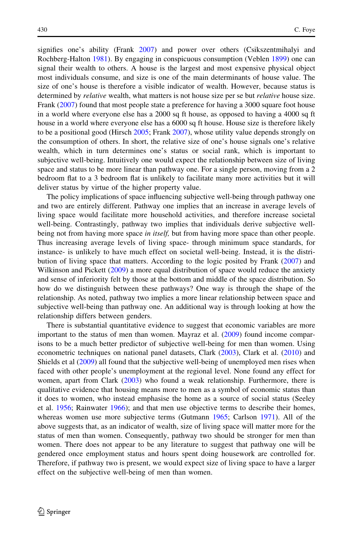signifies one's ability (Frank [2007](#page-33-0)) and power over others (Csikszentmihalyi and Rochberg-Halton [1981](#page-33-0)). By engaging in conspicuous consumption (Veblen [1899](#page-34-0)) one can signal their wealth to others. A house is the largest and most expensive physical object most individuals consume, and size is one of the main determinants of house value. The size of one's house is therefore a visible indicator of wealth. However, because status is determined by *relative* wealth, what matters is not house size per se but *relative* house size. Frank [\(2007](#page-33-0)) found that most people state a preference for having a 3000 square foot house in a world where everyone else has a 2000 sq ft house, as opposed to having a 4000 sq ft house in a world where everyone else has a 6000 sq ft house. House size is therefore likely to be a positional good (Hirsch [2005](#page-33-0); Frank [2007\)](#page-33-0), whose utility value depends strongly on the consumption of others. In short, the relative size of one's house signals one's relative wealth, which in turn determines one's status or social rank, which is important to subjective well-being. Intuitively one would expect the relationship between size of living space and status to be more linear than pathway one. For a single person, moving from a 2 bedroom flat to a 3 bedroom flat is unlikely to facilitate many more activities but it will deliver status by virtue of the higher property value.

The policy implications of space influencing subjective well-being through pathway one and two are entirely different. Pathway one implies that an increase in average levels of living space would facilitate more household activities, and therefore increase societal well-being. Contrastingly, pathway two implies that individuals derive subjective wellbeing not from having more space in itself, but from having more space than other people. Thus increasing average levels of living space- through minimum space standards, for instance- is unlikely to have much effect on societal well-being. Instead, it is the distribution of living space that matters. According to the logic posited by Frank [\(2007](#page-33-0)) and Wilkinson and Pickett ([2009\)](#page-34-0) a more equal distribution of space would reduce the anxiety and sense of inferiority felt by those at the bottom and middle of the space distribution. So how do we distinguish between these pathways? One way is through the shape of the relationship. As noted, pathway two implies a more linear relationship between space and subjective well-being than pathway one. An additional way is through looking at how the relationship differs between genders.

There is substantial quantitative evidence to suggest that economic variables are more important to the status of men than women. Mayraz et al. [\(2009](#page-34-0)) found income comparisons to be a much better predictor of subjective well-being for men than women. Using econometric techniques on national panel datasets, Clark [\(2003](#page-33-0)), Clark et al. [\(2010](#page-33-0)) and Shields et al ([2009\)](#page-34-0) all found that the subjective well-being of unemployed men rises when faced with other people's unemployment at the regional level. None found any effect for women, apart from Clark [\(2003](#page-33-0)) who found a weak relationship. Furthermore, there is qualitative evidence that housing means more to men as a symbol of economic status than it does to women, who instead emphasise the home as a source of social status (Seeley et al. [1956;](#page-34-0) Rainwater [1966](#page-34-0)); and that men use objective terms to describe their homes, whereas women use more subjective terms (Gutmann [1965;](#page-33-0) Carlson [1971](#page-33-0)). All of the above suggests that, as an indicator of wealth, size of living space will matter more for the status of men than women. Consequently, pathway two should be stronger for men than women. There does not appear to be any literature to suggest that pathway one will be gendered once employment status and hours spent doing housework are controlled for. Therefore, if pathway two is present, we would expect size of living space to have a larger effect on the subjective well-being of men than women.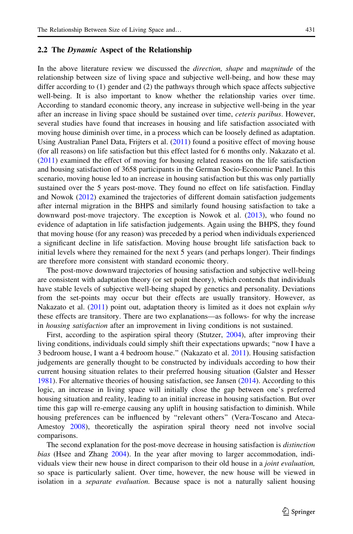### 2.2 The Dynamic Aspect of the Relationship

In the above literature review we discussed the *direction*, *shape* and *magnitude* of the relationship between size of living space and subjective well-being, and how these may differ according to (1) gender and (2) the pathways through which space affects subjective well-being. It is also important to know whether the relationship varies over time. According to standard economic theory, any increase in subjective well-being in the year after an increase in living space should be sustained over time, *ceteris paribus*. However, several studies have found that increases in housing and life satisfaction associated with moving house diminish over time, in a process which can be loosely defined as adaptation. Using Australian Panel Data, Frijters et al. [\(2011](#page-33-0)) found a positive effect of moving house (for all reasons) on life satisfaction but this effect lasted for 6 months only. Nakazato et al. ([2011\)](#page-34-0) examined the effect of moving for housing related reasons on the life satisfaction and housing satisfaction of 3658 participants in the German Socio-Economic Panel. In this scenario, moving house led to an increase in housing satisfaction but this was only partially sustained over the 5 years post-move. They found no effect on life satisfaction. Findlay and Nowok ([2012\)](#page-33-0) examined the trajectories of different domain satisfaction judgements after internal migration in the BHPS and similarly found housing satisfaction to take a downward post-move trajectory. The exception is Nowok et al. ([2013\)](#page-34-0), who found no evidence of adaptation in life satisfaction judgements. Again using the BHPS, they found that moving house (for any reason) was preceded by a period when individuals experienced a significant decline in life satisfaction. Moving house brought life satisfaction back to initial levels where they remained for the next 5 years (and perhaps longer). Their findings are therefore more consistent with standard economic theory.

The post-move downward trajectories of housing satisfaction and subjective well-being are consistent with adaptation theory (or set point theory), which contends that individuals have stable levels of subjective well-being shaped by genetics and personality. Deviations from the set-points may occur but their effects are usually transitory. However, as Nakazato et al.  $(2011)$  $(2011)$  point out, adaptation theory is limited as it does not explain why these effects are transitory. There are two explanations—as follows- for why the increase in housing satisfaction after an improvement in living conditions is not sustained.

First, according to the aspiration spiral theory (Stutzer, [2004\)](#page-34-0), after improving their living conditions, individuals could simply shift their expectations upwards; ''now I have a 3 bedroom house, I want a 4 bedroom house.'' (Nakazato et al. [2011\)](#page-34-0). Housing satisfaction judgements are generally thought to be constructed by individuals according to how their current housing situation relates to their preferred housing situation (Galster and Hesser [1981\)](#page-33-0). For alternative theories of housing satisfaction, see Jansen ([2014\)](#page-33-0). According to this logic, an increase in living space will initially close the gap between one's preferred housing situation and reality, leading to an initial increase in housing satisfaction. But over time this gap will re-emerge causing any uplift in housing satisfaction to diminish. While housing preferences can be influenced by ''relevant others'' (Vera-Toscano and Ateca-Amestoy [2008](#page-34-0)), theoretically the aspiration spiral theory need not involve social comparisons.

The second explanation for the post-move decrease in housing satisfaction is distinction bias (Hsee and Zhang [2004\)](#page-33-0). In the year after moving to larger accommodation, individuals view their new house in direct comparison to their old house in a *joint evaluation*, so space is particularly salient. Over time, however, the new house will be viewed in isolation in a *separate evaluation*. Because space is not a naturally salient housing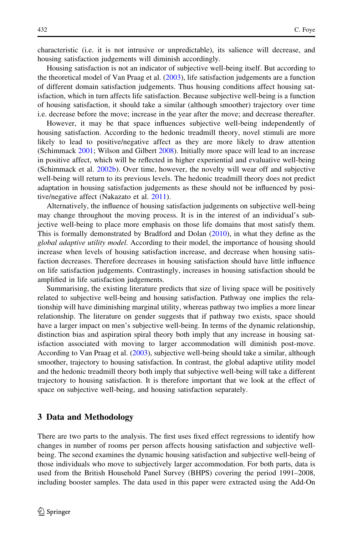characteristic (i.e. it is not intrusive or unpredictable), its salience will decrease, and housing satisfaction judgements will diminish accordingly.

Housing satisfaction is not an indicator of subjective well-being itself. But according to the theoretical model of Van Praag et al.  $(2003)$  $(2003)$ , life satisfaction judgements are a function of different domain satisfaction judgements. Thus housing conditions affect housing satisfaction, which in turn affects life satisfaction. Because subjective well-being is a function of housing satisfaction, it should take a similar (although smoother) trajectory over time i.e. decrease before the move; increase in the year after the move; and decrease thereafter.

However, it may be that space influences subjective well-being independently of housing satisfaction. According to the hedonic treadmill theory, novel stimuli are more likely to lead to positive/negative affect as they are more likely to draw attention (Schimmack [2001](#page-34-0); Wilson and Gilbert [2008\)](#page-34-0). Initially more space will lead to an increase in positive affect, which will be reflected in higher experiential and evaluative well-being (Schimmack et al. [2002b](#page-34-0)). Over time, however, the novelty will wear off and subjective well-being will return to its previous levels. The hedonic treadmill theory does not predict adaptation in housing satisfaction judgements as these should not be influenced by positive/negative affect (Nakazato et al. [2011](#page-34-0)).

Alternatively, the influence of housing satisfaction judgements on subjective well-being may change throughout the moving process. It is in the interest of an individual's subjective well-being to place more emphasis on those life domains that most satisfy them. This is formally demonstrated by Bradford and Dolan ([2010\)](#page-33-0), in what they define as the global adaptive utility model. According to their model, the importance of housing should increase when levels of housing satisfaction increase, and decrease when housing satisfaction decreases. Therefore decreases in housing satisfaction should have little influence on life satisfaction judgements. Contrastingly, increases in housing satisfaction should be amplified in life satisfaction judgements.

Summarising, the existing literature predicts that size of living space will be positively related to subjective well-being and housing satisfaction. Pathway one implies the relationship will have diminishing marginal utility, whereas pathway two implies a more linear relationship. The literature on gender suggests that if pathway two exists, space should have a larger impact on men's subjective well-being. In terms of the dynamic relationship, distinction bias and aspiration spiral theory both imply that any increase in housing satisfaction associated with moving to larger accommodation will diminish post-move. According to Van Praag et al. [\(2003](#page-34-0)), subjective well-being should take a similar, although smoother, trajectory to housing satisfaction. In contrast, the global adaptive utility model and the hedonic treadmill theory both imply that subjective well-being will take a different trajectory to housing satisfaction. It is therefore important that we look at the effect of space on subjective well-being, and housing satisfaction separately.

## 3 Data and Methodology

There are two parts to the analysis. The first uses fixed effect regressions to identify how changes in number of rooms per person affects housing satisfaction and subjective wellbeing. The second examines the dynamic housing satisfaction and subjective well-being of those individuals who move to subjectively larger accommodation. For both parts, data is used from the British Household Panel Survey (BHPS) covering the period 1991–2008, including booster samples. The data used in this paper were extracted using the Add-On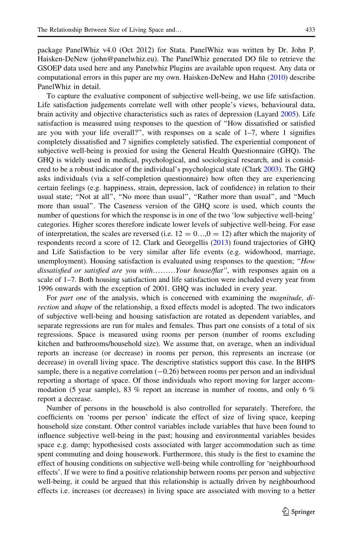package PanelWhiz v4.0 (Oct 2012) for Stata. PanelWhiz was written by Dr. John P. Haisken-DeNew (john@panelwhiz.eu). The PanelWhiz generated DO file to retrieve the GSOEP data used here and any Panelwhiz Plugins are available upon request. Any data or computational errors in this paper are my own. Haisken-DeNew and Hahn [\(2010](#page-33-0)) describe PanelWhiz in detail.

To capture the evaluative component of subjective well-being, we use life satisfaction. Life satisfaction judgements correlate well with other people's views, behavioural data, brain activity and objective characteristics such as rates of depression (Layard [2005\)](#page-33-0). Life satisfaction is measured using responses to the question of ''How dissatisfied or satisfied are you with your life overall?", with responses on a scale of  $1-7$ , where 1 signifies completely dissatisfied and 7 signifies completely satisfied. The experiential component of subjective well-being is proxied for using the General Health Questionnaire (GHQ). The GHQ is widely used in medical, psychological, and sociological research, and is considered to be a robust indicator of the individual's psychological state (Clark [2003](#page-33-0)). The GHQ asks individuals (via a self-completion questionnaire) how often they are experiencing certain feelings (e.g. happiness, strain, depression, lack of confidence) in relation to their usual state; "Not at all", "No more than usual", "Rather more than usual", and "Much more than usual''. The Caseness version of the GHQ score is used, which counts the number of questions for which the response is in one of the two 'low subjective well-being' categories. Higher scores therefore indicate lower levels of subjective well-being. For ease of interpretation, the scales are reversed (i.e.  $12 = 0$ ...,  $0 = 12$ ) after which the majority of respondents record a score of 12. Clark and Georgellis [\(2013](#page-33-0)) found trajectories of GHQ and Life Satisfaction to be very similar after life events (e.g. widowhood, marriage, unemployment). Housing satisfaction is evaluated using responses to the question; "How dissatisfied or satisfied are you with………Your house/flat'', with responses again on a scale of 1–7. Both housing satisfaction and life satisfaction were included every year from 1996 onwards with the exception of 2001. GHQ was included in every year.

For part one of the analysis, which is concerned with examining the *magnitude*, direction and shape of the relationship, a fixed effects model is adopted. The two indicators of subjective well-being and housing satisfaction are rotated as dependent variables, and separate regressions are run for males and females. Thus part one consists of a total of six regressions. Space is measured using rooms per person (number of rooms excluding kitchen and bathrooms/household size). We assume that, on average, when an individual reports an increase (or decrease) in rooms per person, this represents an increase (or decrease) in overall living space. The descriptive statistics support this case. In the BHPS sample, there is a negative correlation  $(-0.26)$  between rooms per person and an individual reporting a shortage of space. Of those individuals who report moving for larger accommodation (5 year sample), 83 % report an increase in number of rooms, and only 6 % report a decrease.

Number of persons in the household is also controlled for separately. Therefore, the coefficients on 'rooms per person' indicate the effect of size of living space, keeping household size constant. Other control variables include variables that have been found to influence subjective well-being in the past; housing and environmental variables besides space e.g. damp; hypothesised costs associated with larger accommodation such as time spent commuting and doing housework. Furthermore, this study is the first to examine the effect of housing conditions on subjective well-being while controlling for 'neighbourhood effects'. If we were to find a positive relationship between rooms per person and subjective well-being, it could be argued that this relationship is actually driven by neighbourhood effects i.e. increases (or decreases) in living space are associated with moving to a better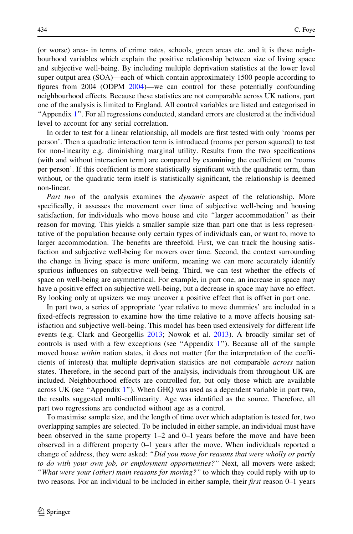(or worse) area- in terms of crime rates, schools, green areas etc. and it is these neighbourhood variables which explain the positive relationship between size of living space and subjective well-being. By including multiple deprivation statistics at the lower level super output area (SOA)—each of which contain approximately 1500 people according to figures from 2004 (ODPM [2004](#page-34-0))—we can control for these potentially confounding neighbourhood effects. Because these statistics are not comparable across UK nations, part one of the analysis is limited to England. All control variables are listed and categorised in ''Appendix [1](#page-14-0)''. For all regressions conducted, standard errors are clustered at the individual level to account for any serial correlation.

In order to test for a linear relationship, all models are first tested with only 'rooms per person'. Then a quadratic interaction term is introduced (rooms per person squared) to test for non-linearity e.g. diminishing marginal utility. Results from the two specifications (with and without interaction term) are compared by examining the coefficient on 'rooms per person'. If this coefficient is more statistically significant with the quadratic term, than without, or the quadratic term itself is statistically significant, the relationship is deemed non-linear.

Part two of the analysis examines the *dynamic* aspect of the relationship. More specifically, it assesses the movement over time of subjective well-being and housing satisfaction, for individuals who move house and cite ''larger accommodation'' as their reason for moving. This yields a smaller sample size than part one that is less representative of the population because only certain types of individuals can, or want to, move to larger accommodation. The benefits are threefold. First, we can track the housing satisfaction and subjective well-being for movers over time. Second, the context surrounding the change in living space is more uniform, meaning we can more accurately identify spurious influences on subjective well-being. Third, we can test whether the effects of space on well-being are asymmetrical. For example, in part one, an increase in space may have a positive effect on subjective well-being, but a decrease in space may have no effect. By looking only at upsizers we may uncover a positive effect that is offset in part one.

In part two, a series of appropriate 'year relative to move dummies' are included in a fixed-effects regression to examine how the time relative to a move affects housing satisfaction and subjective well-being. This model has been used extensively for different life events (e.g. Clark and Georgellis [2013](#page-33-0); Nowok et al. [2013](#page-34-0)). A broadly similar set of controls is used with a few exceptions (see "Appendix  $1$ "). Because all of the sample moved house *within* nation states, it does not matter (for the interpretation of the coefficients of interest) that multiple deprivation statistics are not comparable across nation states. Therefore, in the second part of the analysis, individuals from throughout UK are included. Neighbourhood effects are controlled for, but only those which are available across UK (see ''Appendix [1](#page-14-0)''). When GHQ was used as a dependent variable in part two, the results suggested multi-collinearity. Age was identified as the source. Therefore, all part two regressions are conducted without age as a control.

To maximise sample size, and the length of time over which adaptation is tested for, two overlapping samples are selected. To be included in either sample, an individual must have been observed in the same property 1–2 and 0–1 years before the move and have been observed in a different property 0–1 years after the move. When individuals reported a change of address, they were asked: "Did you move for reasons that were wholly or partly to do with your own job, or employment opportunities?" Next, all movers were asked; "What were your (other) main reasons for moving?" to which they could reply with up to two reasons. For an individual to be included in either sample, their *first* reason 0–1 years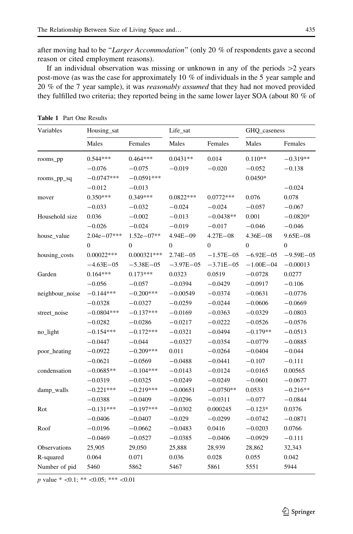<span id="page-8-0"></span>after moving had to be "Larger Accommodation" (only 20 % of respondents gave a second reason or cited employment reasons).

If an individual observation was missing or unknown in any of the periods  $>2$  years post-move (as was the case for approximately 10 % of individuals in the 5 year sample and 20 % of the 7 year sample), it was reasonably assumed that they had not moved provided they fulfilled two criteria; they reported being in the same lower layer SOA (about 80 % of

| Variables       | Housing_sat      |                  | Life_sat         |                | GHQ_caseness   |                  |
|-----------------|------------------|------------------|------------------|----------------|----------------|------------------|
|                 | Males            | Females          | Males            | Females        | Males          | Females          |
| rooms_pp        | $0.544***$       | $0.464***$       | $0.0431**$       | 0.014          | $0.110**$      | $-0.319**$       |
|                 | $-0.076$         | $-0.075$         | $-0.019$         | $-0.020$       | $-0.052$       | $-0.138$         |
| rooms_pp_sq     | $-0.0747***$     | $-0.0591***$     |                  |                | $0.0450*$      |                  |
|                 | $-0.012$         | $-0.013$         |                  |                |                | $-0.024$         |
| mover           | $0.350***$       | $0.349***$       | $0.0822***$      | $0.0772***$    | 0.076          | 0.078            |
|                 | $-0.033$         | $-0.032$         | $-0.024$         | $-0.024$       | $-0.057$       | $-0.067$         |
| Household size  | 0.036            | $-0.002$         | $-0.013$         | $-0.0438**$    | 0.001          | $-0.0820*$       |
|                 | $-0.026$         | $-0.024$         | $-0.019$         | $-0.017$       | $-0.046$       | $-0.046$         |
| house_value     | $2.04e - 07***$  | $1.52e - 07**$   | $4.94E - 09$     | $4.27E - 08$   | $4.36E - 08$   | $9.65E - 08$     |
|                 | $\boldsymbol{0}$ | $\boldsymbol{0}$ | $\boldsymbol{0}$ | $\overline{0}$ | $\overline{0}$ | $\boldsymbol{0}$ |
| housing_costs   | $0.00022***$     | $0.000321***$    | $2.74E - 05$     | $-1.57E - 05$  | $-6.92E - 05$  | $-9.59E - 05$    |
|                 | $-4.63E - 05$    | $-5.38E - 05$    | $-3.97E - 05$    | $-3.71E - 05$  | $-1.00E - 04$  | $-0.00013$       |
| Garden          | $0.164***$       | $0.173***$       | 0.0323           | 0.0519         | $-0.0728$      | 0.0277           |
|                 | $-0.056$         | $-0.057$         | $-0.0394$        | $-0.0429$      | $-0.0917$      | $-0.106$         |
| neighbour_noise | $-0.144***$      | $-0.200***$      | $-0.00549$       | $-0.0374$      | $-0.0631$      | $-0.0776$        |
|                 | $-0.0328$        | $-0.0327$        | $-0.0259$        | $-0.0244$      | $-0.0606$      | $-0.0669$        |
| street_noise    | $-0.0804***$     | $-0.137***$      | $-0.0169$        | $-0.0363$      | $-0.0329$      | $-0.0803$        |
|                 | $-0.0282$        | $-0.0286$        | $-0.0217$        | $-0.0222$      | $-0.0526$      | $-0.0576$        |
| no_light        | $-0.154***$      | $-0.172***$      | $-0.0321$        | $-0.0494$      | $-0.179**$     | $-0.0513$        |
|                 | $-0.0447$        | $-0.044$         | $-0.0327$        | $-0.0354$      | $-0.0779$      | $-0.0885$        |
| poor_heating    | $-0.0922$        | $-0.209***$      | 0.011            | $-0.0264$      | $-0.0404$      | $-0.044$         |
|                 | $-0.0621$        | $-0.0569$        | $-0.0488$        | $-0.0441$      | $-0.107$       | $-0.111$         |
| condensation    | $-0.0685**$      | $-0.104***$      | $-0.0143$        | $-0.0124$      | $-0.0165$      | 0.00565          |
|                 | $-0.0319$        | $-0.0325$        | $-0.0249$        | $-0.0249$      | $-0.0601$      | $-0.0677$        |
| damp_walls      | $-0.221***$      | $-0.219***$      | $-0.00651$       | $-0.0750**$    | 0.0533         | $-0.216**$       |
|                 | $-0.0388$        | $-0.0409$        | $-0.0296$        | $-0.0311$      | $-0.077$       | $-0.0844$        |
| Rot             | $-0.131***$      | $-0.197***$      | $-0.0302$        | 0.000245       | $-0.123*$      | 0.0376           |
|                 | $-0.0406$        | $-0.0407$        | $-0.029$         | $-0.0299$      | $-0.0742$      | $-0.0871$        |
| Roof            | $-0.0196$        | $-0.0662$        | $-0.0483$        | 0.0416         | $-0.0203$      | 0.0766           |
|                 | $-0.0469$        | $-0.0527$        | $-0.0385$        | $-0.0406$      | $-0.0929$      | $-0.111$         |
| Observations    | 25,905           | 29,050           | 25,888           | 28,939         | 28,862         | 32,343           |
| R-squared       | 0.064            | 0.071            | 0.036            | 0.028          | 0.055          | 0.042            |
| Number of pid   | 5460             | 5862             | 5467             | 5861           | 5551           | 5944             |

Table 1 Part One Results

p value \*  $< 0.1$ ; \*\*  $< 0.05$ ; \*\*\*  $< 0.01$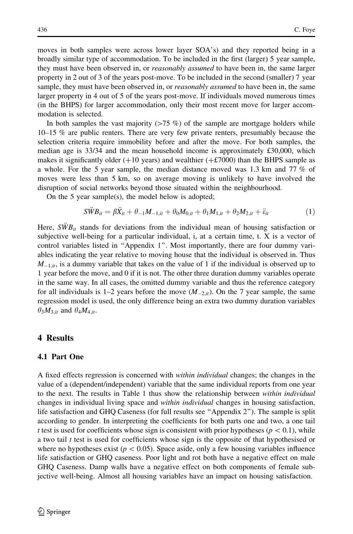moves in both samples were across lower layer SOA's) and they reported being in a broadly similar type of accommodation. To be included in the first (larger) 5 year sample, they must have been observed in, or *reasonably assumed* to have been in, the same larger property in 2 out of 3 of the years post-move. To be included in the second (smaller) 7 year sample, they must have been observed in, or *reasonably assumed* to have been in, the same larger property in 4 out of 5 of the years post-move. If individuals moved numerous times (in the BHPS) for larger accommodation, only their most recent move for larger accommodation is selected.

In both samples the vast majority  $(575 \%)$  of the sample are mortgage holders while 10–15 % are public renters. There are very few private renters, presumably because the selection criteria require immobility before and after the move. For both samples, the median age is 33/34 and the mean household income is approximately £30,000, which makes it significantly older  $(+10 \text{ years})$  and wealthier  $(+\text{\textsterling}7000)$  than the BHPS sample as a whole. For the 5 year sample, the median distance moved was 1.3 km and 77 % of moves were less than 5 km, so on average moving is unlikely to have involved the disruption of social networks beyond those situated within the neighbourhood.

On the 5 year sample(s), the model below is adopted;

$$
S\ddot{W}B_{it} = \beta \ddot{X}_{it} + \theta_{-1}M_{-1,it} + \theta_0M_{0,it} + \theta_1M_{1,it} + \theta_2M_{2,it} + \ddot{\varepsilon}_{it}
$$
(1)

Here,  $\overline{SWB}_{it}$  stands for deviations from the individual mean of housing satisfaction or subjective well-being for a particular individual, i, at a certain time, t. X is a vector of control variables listed in ''Appendix [1'](#page-14-0)'. Most importantly, there are four dummy variables indicating the year relative to moving house that the individual is observed in. Thus  $M_{-1,i}$ , is a dummy variable that takes on the value of 1 if the individual is observed up to 1 year before the move, and 0 if it is not. The other three duration dummy variables operate in the same way. In all cases, the omitted dummy variable and thus the reference category for all individuals is 1–2 years before the move  $(M_{2,it})$ . On the 7 year sample, the same regression model is used, the only difference being an extra two dummy duration variables  $\theta_3M_{3,it}$  and  $\theta_4M_{4,it}$ .

# 4 Results

# 4.1 Part One

A fixed effects regression is concerned with *within individual* changes; the changes in the value of a (dependent/independent) variable that the same individual reports from one year to the next. The results in Table [1](#page-8-0) thus show the relationship between *within individual* changes in individual living space and *within individual* changes in housing satisfaction, life satisfaction and GHQ Caseness (for full results see "Appendix 2"). The sample is split according to gender. In interpreting the coefficients for both parts one and two, a one tail t test is used for coefficients whose sign is consistent with prior hypotheses ( $p<0.1$ ), while a two tail t test is used for coefficients whose sign is the opposite of that hypothesised or where no hypotheses exist ( $p < 0.05$ ). Space aside, only a few housing variables influence life satisfaction or GHQ caseness. Poor light and rot both have a negative effect on male GHQ Caseness. Damp walls have a negative effect on both components of female subjective well-being. Almost all housing variables have an impact on housing satisfaction.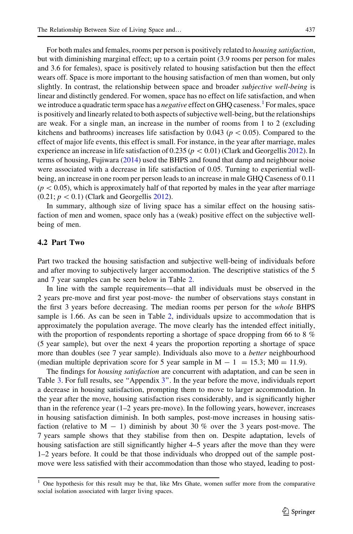For both males and females, rooms per person is positively related to housing satisfaction, but with diminishing marginal effect; up to a certain point (3.9 rooms per person for males and 3.6 for females), space is positively related to housing satisfaction but then the effect wears off. Space is more important to the housing satisfaction of men than women, but only slightly. In contrast, the relationship between space and broader *subjective well-being* is linear and distinctly gendered. For women, space has no effect on life satisfaction, and when we introduce a quadratic term space has a *negative* effect on GHQ caseness.<sup>1</sup> For males, space is positively and linearly related to both aspects of subjective well-being, but the relationships are weak. For a single man, an increase in the number of rooms from 1 to 2 (excluding kitchens and bathrooms) increases life satisfaction by 0.043 ( $p<0.05$ ). Compared to the effect of major life events, this effect is small. For instance, in the year after marriage, males experience an increase in life satisfaction of 0.235 ( $p < 0.01$ ) (Clark and Georgellis [2012\)](#page-33-0). In terms of housing, Fujiwara [\(2014](#page-33-0)) used the BHPS and found that damp and neighbour noise were associated with a decrease in life satisfaction of 0.05. Turning to experiential wellbeing, an increase in one room per person leads to an increase in male GHQ Caseness of 0.11  $(p<0.05)$ , which is approximately half of that reported by males in the year after marriage  $(0.21; p < 0.1)$  (Clark and Georgellis [2012](#page-33-0)).

In summary, although size of living space has a similar effect on the housing satisfaction of men and women, space only has a (weak) positive effect on the subjective wellbeing of men.

### 4.2 Part Two

Part two tracked the housing satisfaction and subjective well-being of individuals before and after moving to subjectively larger accommodation. The descriptive statistics of the 5 and 7 year samples can be seen below in Table [2.](#page-11-0)

In line with the sample requirements—that all individuals must be observed in the 2 years pre-move and first year post-move- the number of observations stays constant in the first 3 years before decreasing. The median rooms per person for the whole BHPS sample is 1.66. As can be seen in Table [2,](#page-11-0) individuals upsize to accommodation that is approximately the population average. The move clearly has the intended effect initially, with the proportion of respondents reporting a shortage of space dropping from 66 to 8 % (5 year sample), but over the next 4 years the proportion reporting a shortage of space more than doubles (see 7 year sample). Individuals also move to a *better* neighbourhood (median multiple deprivation score for 5 year sample in  $M - 1 = 15.3$ ;  $M0 = 11.9$ ).

The findings for *housing satisfaction* are concurrent with adaptation, and can be seen in Table [3](#page-11-0). For full results, see "Appendix 3". In the year before the move, individuals report a decrease in housing satisfaction, prompting them to move to larger accommodation. In the year after the move, housing satisfaction rises considerably, and is significantly higher than in the reference year (1–2 years pre-move). In the following years, however, increases in housing satisfaction diminish. In both samples, post-move increases in housing satisfaction (relative to  $M - 1$ ) diminish by about 30 % over the 3 years post-move. The 7 years sample shows that they stabilise from then on. Despite adaptation, levels of housing satisfaction are still significantly higher 4–5 years after the move than they were 1–2 years before. It could be that those individuals who dropped out of the sample postmove were less satisfied with their accommodation than those who stayed, leading to post-

<sup>1</sup> One hypothesis for this result may be that, like Mrs Ghate, women suffer more from the comparative social isolation associated with larger living spaces.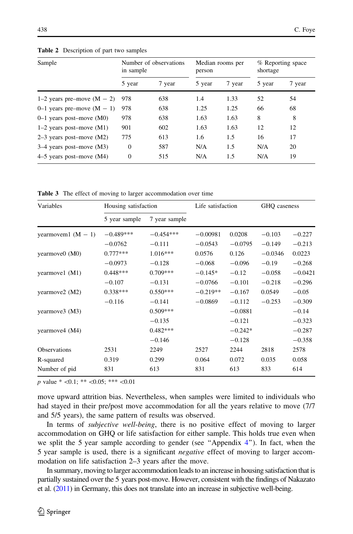| Sample                       | in sample    | Number of observations | person | Median rooms per | shortage | % Reporting space |
|------------------------------|--------------|------------------------|--------|------------------|----------|-------------------|
|                              | 5 year       | 7 year                 | 5 year | 7 year           | 5 year   | 7 year            |
| 1–2 years pre–move $(M - 2)$ | 978          | 638                    | 1.4    | 1.33             | 52       | 54                |
| 0–1 years pre-move $(M - 1)$ | 978          | 638                    | 1.25   | 1.25             | 66       | 68                |
| $0-1$ years post-move (M0)   | 978          | 638                    | 1.63   | 1.63             | 8        | 8                 |
| $1-2$ years post-move $(M1)$ | 901          | 602                    | 1.63   | 1.63             | 12       | 12                |
| $2-3$ years post-move (M2)   | 775          | 613                    | 1.6    | 1.5              | 16       | 17                |
| $3-4$ years post-move (M3)   | $\Omega$     | 587                    | N/A    | 1.5              | N/A      | 20                |
| $4-5$ years post-move (M4)   | $\mathbf{0}$ | 515                    | N/A    | 1.5              | N/A      | 19                |

<span id="page-11-0"></span>Table 2 Description of part two samples

Table 3 The effect of moving to larger accommodation over time

| Variables            | Housing satisfaction |               | Life satisfaction |           | GHO caseness |           |
|----------------------|----------------------|---------------|-------------------|-----------|--------------|-----------|
|                      | 5 year sample        | 7 year sample |                   |           |              |           |
| yearmovem1 $(M - 1)$ | $-0.489***$          | $-0.454***$   | $-0.00981$        | 0.0208    | $-0.103$     | $-0.227$  |
|                      | $-0.0762$            | $-0.111$      | $-0.0543$         | $-0.0795$ | $-0.149$     | $-0.213$  |
| yearmove0 (M0)       | $0.777***$           | $1.016***$    | 0.0576            | 0.126     | $-0.0346$    | 0.0223    |
|                      | $-0.0973$            | $-0.128$      | $-0.068$          | $-0.096$  | $-0.19$      | $-0.268$  |
| yearmove1 (M1)       | $0.448***$           | $0.709***$    | $-0.145*$         | $-0.12$   | $-0.058$     | $-0.0421$ |
|                      | $-0.107$             | $-0.131$      | $-0.0766$         | $-0.101$  | $-0.218$     | $-0.296$  |
| yearmove2 (M2)       | $0.338***$           | $0.550***$    | $-0.219**$        | $-0.167$  | 0.0549       | $-0.05$   |
|                      | $-0.116$             | $-0.141$      | $-0.0869$         | $-0.112$  | $-0.253$     | $-0.309$  |
| yearmove3 (M3)       |                      | $0.509***$    |                   | $-0.0881$ |              | $-0.14$   |
|                      |                      | $-0.135$      |                   | $-0.121$  |              | $-0.323$  |
| yearmove4 (M4)       |                      | $0.482***$    |                   | $-0.242*$ |              | $-0.287$  |
|                      |                      | $-0.146$      |                   | $-0.128$  |              | $-0.358$  |
| <b>Observations</b>  | 2531                 | 2249          | 2527              | 2244      | 2818         | 2578      |
| R-squared            | 0.319                | 0.299         | 0.064             | 0.072     | 0.035        | 0.058     |
| Number of pid        | 831                  | 613           | 831               | 613       | 833          | 614       |

p value  $*$  <0.1; \*\* <0.05; \*\*\* <0.01

move upward attrition bias. Nevertheless, when samples were limited to individuals who had stayed in their pre/post move accommodation for all the years relative to move (7/7 and 5/5 years), the same pattern of results was observed.

In terms of subjective well-being, there is no positive effect of moving to larger accommodation on GHQ or life satisfaction for either sample. This holds true even when we split the 5 year sample according to gender (see "Appendix [4](#page-27-0)"). In fact, when the 5 year sample is used, there is a significant *negative* effect of moving to larger accommodation on life satisfaction 2–3 years after the move.

In summary, moving to larger accommodation leadsto an increase in housing satisfaction that is partially sustained over the 5 years post-move. However, consistent with the findings of Nakazato et al. [\(2011](#page-34-0)) in Germany, this does not translate into an increase in subjective well-being.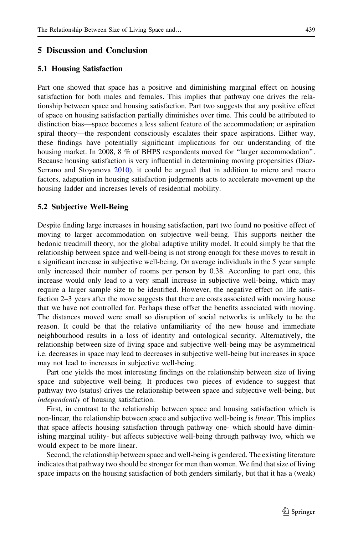### 5 Discussion and Conclusion

### 5.1 Housing Satisfaction

Part one showed that space has a positive and diminishing marginal effect on housing satisfaction for both males and females. This implies that pathway one drives the relationship between space and housing satisfaction. Part two suggests that any positive effect of space on housing satisfaction partially diminishes over time. This could be attributed to distinction bias—space becomes a less salient feature of the accommodation; or aspiration spiral theory—the respondent consciously escalates their space aspirations. Either way, these findings have potentially significant implications for our understanding of the housing market. In 2008, 8 % of BHPS respondents moved for ''larger accommodation''. Because housing satisfaction is very influential in determining moving propensities (Diaz-Serrano and Stoyanova [2010](#page-33-0)), it could be argued that in addition to micro and macro factors, adaptation in housing satisfaction judgements acts to accelerate movement up the housing ladder and increases levels of residential mobility.

### 5.2 Subjective Well-Being

Despite finding large increases in housing satisfaction, part two found no positive effect of moving to larger accommodation on subjective well-being. This supports neither the hedonic treadmill theory, nor the global adaptive utility model. It could simply be that the relationship between space and well-being is not strong enough for these moves to result in a significant increase in subjective well-being. On average individuals in the 5 year sample only increased their number of rooms per person by 0.38. According to part one, this increase would only lead to a very small increase in subjective well-being, which may require a larger sample size to be identified. However, the negative effect on life satisfaction 2–3 years after the move suggests that there are costs associated with moving house that we have not controlled for. Perhaps these offset the benefits associated with moving. The distances moved were small so disruption of social networks is unlikely to be the reason. It could be that the relative unfamiliarity of the new house and immediate neighbourhood results in a loss of identity and ontological security. Alternatively, the relationship between size of living space and subjective well-being may be asymmetrical i.e. decreases in space may lead to decreases in subjective well-being but increases in space may not lead to increases in subjective well-being.

Part one yields the most interesting findings on the relationship between size of living space and subjective well-being. It produces two pieces of evidence to suggest that pathway two (status) drives the relationship between space and subjective well-being, but independently of housing satisfaction.

First, in contrast to the relationship between space and housing satisfaction which is non-linear, the relationship between space and subjective well-being is *linear*. This implies that space affects housing satisfaction through pathway one- which should have diminishing marginal utility- but affects subjective well-being through pathway two, which we would expect to be more linear.

Second, the relationship between space and well-being is gendered. The existing literature indicates that pathway two should be stronger for men than women. We find that size of living space impacts on the housing satisfaction of both genders similarly, but that it has a (weak)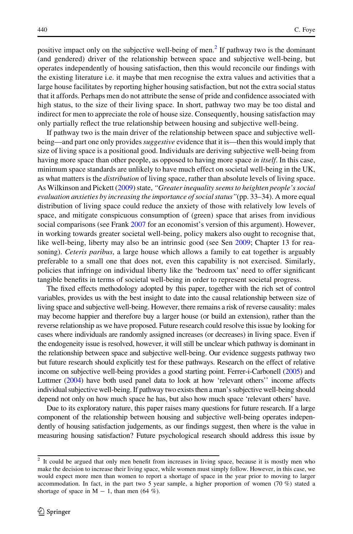positive impact only on the subjective well-being of men.<sup>2</sup> If pathway two is the dominant (and gendered) driver of the relationship between space and subjective well-being, but operates independently of housing satisfaction, then this would reconcile our findings with the existing literature i.e. it maybe that men recognise the extra values and activities that a large house facilitates by reporting higher housing satisfaction, but not the extra social status that it affords. Perhaps men do not attribute the sense of pride and confidence associated with high status, to the size of their living space. In short, pathway two may be too distal and indirect for men to appreciate the role of house size. Consequently, housing satisfaction may only partially reflect the true relationship between housing and subjective well-being.

If pathway two is the main driver of the relationship between space and subjective wellbeing—and part one only provides *suggestive* evidence that it is—then this would imply that size of living space is a positional good. Individuals are deriving subjective well-being from having more space than other people, as opposed to having more space in itself. In this case, minimum space standards are unlikely to have much effect on societal well-being in the UK, as what matters is the *distribution* of living space, rather than absolute levels of living space. As Wilkinson and Pickett ([2009\)](#page-34-0) state, "Greater inequality seems to heighten people's social evaluation anxieties by increasing the importance of social status''(pp. 33–34). A more equal distribution of living space could reduce the anxiety of those with relatively low levels of space, and mitigate conspicuous consumption of (green) space that arises from invidious social comparisons (see Frank [2007](#page-33-0) for an economist's version of this argument). However, in working towards greater societal well-being, policy makers also ought to recognise that, like well-being, liberty may also be an intrinsic good (see Sen [2009;](#page-34-0) Chapter 13 for reasoning). Ceteris paribus, a large house which allows a family to eat together is arguably preferable to a small one that does not, even this capability is not exercised. Similarly, policies that infringe on individual liberty like the 'bedroom tax' need to offer significant tangible benefits in terms of societal well-being in order to represent societal progress.

The fixed effects methodology adopted by this paper, together with the rich set of control variables, provides us with the best insight to date into the causal relationship between size of living space and subjective well-being. However, there remains a risk of reverse causality: males may become happier and therefore buy a larger house (or build an extension), rather than the reverse relationship as we have proposed. Future research could resolve this issue by looking for cases where individuals are randomly assigned increases (or decreases) in living space. Even if the endogeneity issue is resolved, however, it will still be unclear which pathway is dominant in the relationship between space and subjective well-being. Our evidence suggests pathway two but future research should explicitly test for these pathways. Research on the effect of relative income on subjective well-being provides a good starting point. Ferrer-i-Carbonell [\(2005\)](#page-33-0) and Luttmer ([2004\)](#page-33-0) have both used panel data to look at how 'relevant others'' income affects individual subjective well-being. If pathway two exists then a man's subjective well-being should depend not only on how much space he has, but also how much space 'relevant others' have.

Due to its exploratory nature, this paper raises many questions for future research. If a large component of the relationship between housing and subjective well-being operates independently of housing satisfaction judgements, as our findings suggest, then where is the value in measuring housing satisfaction? Future psychological research should address this issue by

<sup>2</sup> It could be argued that only men benefit from increases in living space, because it is mostly men who make the decision to increase their living space, while women must simply follow. However, in this case, we would expect more men than women to report a shortage of space in the year prior to moving to larger accommodation. In fact, in the part two 5 year sample, a higher proportion of women (70 %) stated a shortage of space in  $M - 1$ , than men (64 %).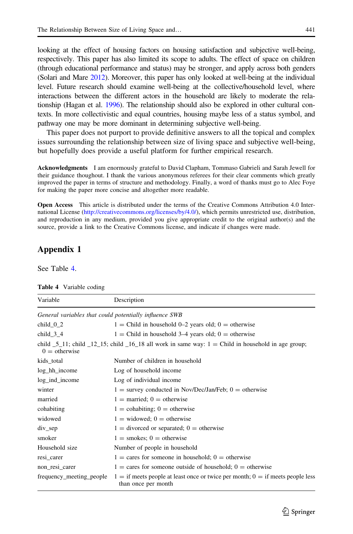<span id="page-14-0"></span>looking at the effect of housing factors on housing satisfaction and subjective well-being, respectively. This paper has also limited its scope to adults. The effect of space on children (through educational performance and status) may be stronger, and apply across both genders (Solari and Mare [2012\)](#page-34-0). Moreover, this paper has only looked at well-being at the individual level. Future research should examine well-being at the collective/household level, where interactions between the different actors in the household are likely to moderate the relationship (Hagan et al. [1996](#page-33-0)). The relationship should also be explored in other cultural contexts. In more collectivistic and equal countries, housing maybe less of a status symbol, and pathway one may be more dominant in determining subjective well-being.

This paper does not purport to provide definitive answers to all the topical and complex issues surrounding the relationship between size of living space and subjective well-being, but hopefully does provide a useful platform for further empirical research.

Acknowledgments I am enormously grateful to David Clapham, Tommaso Gabrieli and Sarah Jewell for their guidance thoughout. I thank the various anonymous referees for their clear comments which greatly improved the paper in terms of structure and methodology. Finally, a word of thanks must go to Alec Foye for making the paper more concise and altogether more readable.

Open Access This article is distributed under the terms of the Creative Commons Attribution 4.0 International License [\(http://creativecommons.org/licenses/by/4.0/\)](http://creativecommons.org/licenses/by/4.0/), which permits unrestricted use, distribution, and reproduction in any medium, provided you give appropriate credit to the original author(s) and the source, provide a link to the Creative Commons license, and indicate if changes were made.

## Appendix 1

See Table 4.

| Variable                                               | Description                                                                                                                            |
|--------------------------------------------------------|----------------------------------------------------------------------------------------------------------------------------------------|
| General variables that could potentially influence SWB |                                                                                                                                        |
| child $0_2$                                            | $1 =$ Child in household 0–2 years old; 0 = otherwise                                                                                  |
| child $3\,4$                                           | $1 =$ Child in household 3–4 years old; 0 = otherwise                                                                                  |
| $0 =$ otherwise                                        | child $\overline{5}$ 11; child $\overline{12}$ 15; child $\overline{16}$ 18 all work in same way: 1 = Child in household in age group; |
| kids_total                                             | Number of children in household                                                                                                        |
| log_hh_income                                          | Log of household income                                                                                                                |
| log_ind_income                                         | Log of individual income                                                                                                               |
| winter                                                 | $1 =$ survey conducted in Nov/Dec/Jan/Feb; $0 =$ otherwise                                                                             |
| married                                                | $1 =$ married; 0 = otherwise                                                                                                           |
| cohabiting                                             | $1 =$ cohabiting; 0 = otherwise                                                                                                        |
| widowed                                                | $1 =$ widowed; $0 =$ otherwise                                                                                                         |
| $div\_sep$                                             | $1 =$ divorced or separated; $0 =$ otherwise                                                                                           |
| smoker                                                 | $1 =$ smokes; 0 = otherwise                                                                                                            |
| Household size                                         | Number of people in household                                                                                                          |
| resi_carer                                             | $1 = \text{cares}$ for someone in household; $0 = \text{otherwise}$                                                                    |
| non_resi_carer                                         | $1 = \text{cares}$ for someone outside of household; $0 = \text{otherwise}$                                                            |
| frequency_meeting_people                               | $1 =$ if meets people at least once or twice per month; $0 =$ if meets people less<br>than once per month                              |

Table 4 Variable coding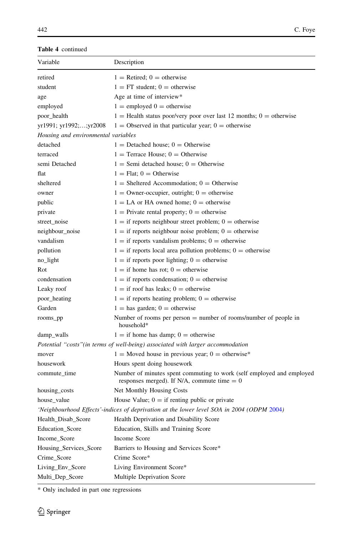| Variable                            | Description                                                                                                            |
|-------------------------------------|------------------------------------------------------------------------------------------------------------------------|
| retired                             | $1 =$ Retired; 0 = otherwise                                                                                           |
| student                             | $1 = FT$ student; 0 = otherwise                                                                                        |
| age                                 | Age at time of interview*                                                                                              |
| employed                            | $1 =$ employed $0 =$ otherwise                                                                                         |
| poor_health                         | $1 =$ Health status poor/very poor over last 12 months; 0 = otherwise                                                  |
| yr1991; yr1992;; yr2008             | $1 =$ Observed in that particular year; $0 =$ otherwise                                                                |
| Housing and environmental variables |                                                                                                                        |
| detached                            | $1 =$ Detached house; 0 = Otherwise                                                                                    |
| terraced                            | $1 =$ Terrace House; $0 =$ Otherwise                                                                                   |
| semi Detached                       | $1 =$ Semi detached house; $0 =$ Otherwise                                                                             |
| flat                                | $1 =$ Flat: $0 =$ Otherwise                                                                                            |
| sheltered                           | $1 =$ Sheltered Accommodation; $0 =$ Otherwise                                                                         |
| owner                               | $1 =$ Owner-occupier, outright; $0 =$ otherwise                                                                        |
| public                              | $1 = LA$ or HA owned home; $0 =$ otherwise                                                                             |
| private                             | $1 =$ Private rental property; 0 = otherwise                                                                           |
| street_noise                        | $1 =$ if reports neighbour street problem; 0 = otherwise                                                               |
| neighbour_noise                     | $1 =$ if reports neighbour noise problem; 0 = otherwise                                                                |
| vandalism                           | $1 =$ if reports vandalism problems; 0 = otherwise                                                                     |
| pollution                           | $1 =$ if reports local area pollution problems; 0 = otherwise                                                          |
| no_light                            | $1 =$ if reports poor lighting; 0 = otherwise                                                                          |
| Rot                                 | $1 =$ if home has rot; 0 = otherwise                                                                                   |
| condensation                        | $1 =$ if reports condensation; 0 = otherwise                                                                           |
| Leaky roof                          | $1 =$ if roof has leaks; $0 =$ otherwise                                                                               |
| poor_heating                        | $1 =$ if reports heating problem; 0 = otherwise                                                                        |
| Garden                              | $1 =$ has garden; 0 = otherwise                                                                                        |
| rooms_pp                            | Number of rooms per person $=$ number of rooms/number of people in<br>household*                                       |
| damp_walls                          | $1 =$ if home has damp; $0 =$ otherwise                                                                                |
|                                     | Potential "costs" (in terms of well-being) associated with larger accommodation                                        |
| mover                               | $1 =$ Moved house in previous year; 0 = otherwise*                                                                     |
| housework                           | Hours spent doing housework                                                                                            |
| commute_time                        | Number of minutes spent commuting to work (self employed and employed<br>responses merged). If N/A, commute time $= 0$ |
| housing_costs                       | Net Monthly Housing Costs                                                                                              |
| house_value                         | House Value; $0 =$ if renting public or private                                                                        |
|                                     | 'Neighbourhood Effects'-indices of deprivation at the lower level SOA in 2004 (ODPM 2004)                              |
| Health_Disab_Score                  | Health Deprivation and Disability Score                                                                                |
| Education_Score                     | Education, Skills and Training Score                                                                                   |
| Income_Score                        | Income Score                                                                                                           |
| Housing_Services_Score              | Barriers to Housing and Services Score*                                                                                |
| Crime_Score                         | Crime Score*                                                                                                           |
| Living_Env_Score                    | Living Environment Score*                                                                                              |
| Multi_Dep_Score                     | Multiple Deprivation Score                                                                                             |

\* Only included in part one regressions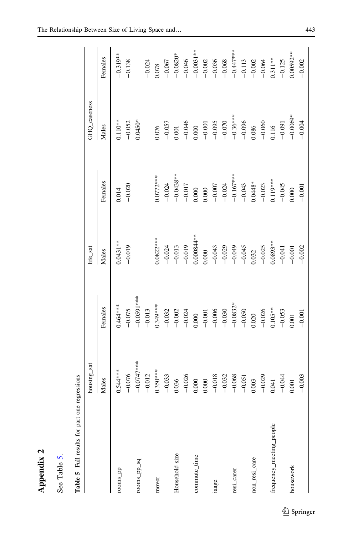| P |
|---|
|   |
|   |
|   |

See Table 5. See Table 5.

| $\ddot{a}$<br>- 1<br>- 1<br>- 1 |
|---------------------------------|
| i<br>ı<br>l                     |
| j<br>֕                          |
|                                 |
| I<br>$\overline{\phantom{a}}$   |
| ׇ֚֚֬֕                           |
|                                 |
|                                 |

<span id="page-16-0"></span>

|                          | housing_sat   |                 | life_sat             |             | GHQ_caseness |              |
|--------------------------|---------------|-----------------|----------------------|-------------|--------------|--------------|
|                          | Males         | Females         | Males                | Females     | Males        | Females      |
| rooms_pp                 | $0.544***$    | $0.464***$      | $0.0431**$           | 0.014       | $0.110**$    | $-0.319**$   |
|                          | $-0.076$      | $-0.075$        | $-0.019$             | $-0.020$    | $-0.052$     | $-0.138$     |
| rooms_pp_sq              | $-0.0747$ *** | $-0.0591***$    |                      |             | $0.0450*$    |              |
|                          | $-0.012$      | $-0.013$        |                      |             |              | $-0.024$     |
| mover                    | $0.350***$    | $0.349***$      | $0.0822***$          | $0.0772***$ | 0.076        | 0.078        |
|                          | $-0.033$      | $-0.032$        | $-0.024$             | $-0.024$    | $-0.057$     | $-0.067$     |
| Household size           | 0.036         | $-0.002$        | $-0.013$             | $-0.0438**$ | 0.001        | $-0.0820*$   |
|                          | $-0.026$      | $-0.024$        | $-0.019$             | $-0.017$    | $-0.046$     | $-0.046$     |
| commute_time             | 0.000         |                 | **18000.1            | 0.000       | 0.000        | $-0.0031**$  |
|                          | 0.000         | $0.000 - 0.001$ | 0.000                | 0.000       | $-0.001$     | $-0.002$     |
| iaage                    | $-0.018$      | $-0.006$        | $-0.043$<br>$-0.029$ | $-0.007$    | $-0.095$     | $-0.036$     |
|                          | $-0.032$      | $-0.030$        |                      | $-0.024$    | $-0.070$     | $-0.068$     |
| resi_carer               | $-0.068$      | $-0.0832*$      | $-0.049$             | $-0.167***$ | $-0.36***$   | $-0.447$ *** |
|                          | $-0.051$      | $-0.050$        | $-0.045$             | $-0.043$    | $-0.096$     | $-0.113$     |
| non_resi_care            | 0.003         | 0.020           | 1.032                | $0.0448*$   | 0.086        | $-0.002$     |
|                          | $-0.029$      | $-0.026$        | $-0.025$             | $-0.023$    | $-0.060$     | $-0.064$     |
| frequency_meeting_people | 0.041         | $0.105***$      | 1.0893**             | $0.119***$  | 1.116        | $0.311***$   |
|                          | $-0.044$      | $-0.053$        | $-0.041$             | $-0.045$    | $-0.091$     | $-0.125$     |
| housework                | 0.001         | 0.001           | $-0.001$             | 000         | $-0.0069*$   | $0.00592**$  |
|                          | $-0.003$      | $-0.001$        | $-0.002$             | $-0.001$    | $-0.004$     | $-0.002$     |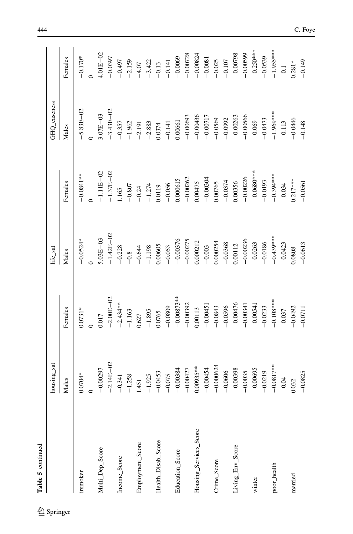| Table 5 continued      |               |                                                                            |                                                                 |                                                                             |                      |                                                        |
|------------------------|---------------|----------------------------------------------------------------------------|-----------------------------------------------------------------|-----------------------------------------------------------------------------|----------------------|--------------------------------------------------------|
|                        | housing_sat   |                                                                            | $\mathit{life}\_ \mathit{sat}$                                  |                                                                             | GHQ_caseness         |                                                        |
|                        | Males         | Females                                                                    | Males                                                           | Females                                                                     | Males                | Females                                                |
| irsmoker               | $0.0704*$     | $0.0731*$                                                                  | $-0.0524*$                                                      | $-0.0841***$                                                                | $-5.83E - 02$        | $-0.170*$                                              |
|                        |               |                                                                            |                                                                 |                                                                             |                      |                                                        |
| Multi_Dep_Score        | $-0.00297$    | 1.017                                                                      | $5.03E - 03$                                                    | $-1.11E - 02$                                                               | $3.07E-03$           | $4.01E - 02$                                           |
|                        | $-2.14E - 02$ | $-2.00E - 02$                                                              | $-1.42E - 02$                                                   | $-1.37E - 02$                                                               | $-3.43E - 02$        | $-0.0397$                                              |
| Income_Score           | $-0.341$      | $-2.434**$                                                                 | $-0.228$                                                        | 1.165                                                                       | $-0.357$             | $-0.497$                                               |
|                        | $-1.258$      |                                                                            |                                                                 |                                                                             |                      |                                                        |
| Employment_Score       | 1.451         | $-1.163$<br>0.627                                                          | $-0.8$<br>-0.644                                                |                                                                             | $-1.962$<br>$-2.191$ |                                                        |
|                        | $-1.925$      | $-1.895$                                                                   | $-1.198$                                                        |                                                                             | $-2.883$             |                                                        |
| Health_Disab_Score     | $-0.0453$     | 0.0765                                                                     | 0.00605                                                         |                                                                             |                      | $-2.159$<br>$-4.07$<br>$-3.422$<br>$-0.13$<br>$-0.141$ |
|                        | $-0.075$      | $-0.0809$                                                                  | $-0.053$                                                        |                                                                             | $-0.0374$            |                                                        |
| Education_Score        | $-0.00384$    |                                                                            |                                                                 |                                                                             | 0.00661              |                                                        |
|                        | $-0.00427$    | $-0.00873**$<br>$-0.00392$                                                 | $\begin{array}{r} -0.00376 \\ -0.00275 \\ 0.000212 \end{array}$ | $-0.807$<br>$-0.24$<br>$-1.274$<br>0.0119<br>0.00615<br>0.000615<br>0.00262 | $-0.00693$           | $-0.0069$<br>$-0.00728$<br>$-0.00824$                  |
| Housing_Services_Score | $0.00935***$  | 0.00113                                                                    |                                                                 |                                                                             | $-0.00436$           |                                                        |
|                        | $-0.00454$    |                                                                            | $-0.003$                                                        |                                                                             | $-0.00717$           |                                                        |
| Crime_Score            | $-0.000624$   | $-0.00451$<br>$-0.0843$                                                    | 0.000254                                                        | $-0.00304$<br>$0.00765$                                                     | $-0.0569$            | $-0.0081$<br>$-0.025$                                  |
|                        | $-0.0606$     |                                                                            | $-0.0368$                                                       | $-0.0374$                                                                   | $-0.0992$            | $-0.107$                                               |
| Living_Env_Score       | $-0.00398$    | $\begin{array}{r} -0.0596 \\ -0.00476 \\ -0.00341 \\ -0.00341 \end{array}$ | 0.00112                                                         | 0.00356                                                                     | $-0.00263$           | $-0.00798$                                             |
|                        | $-0.0035$     |                                                                            | $-0.00236$                                                      | $-0.00226$                                                                  | $-0.00566$           | $-0.00599$                                             |
| winter                 | $-0.00695$    |                                                                            | $-0.0263$                                                       | $-0.0680***$                                                                | $-0.069$             | $-0.250***$                                            |
|                        | $-0.0219$     | $-0.0233$                                                                  | $-0.0186$                                                       | $-0.0193$                                                                   | $-0.0473$            | $-0.0539$                                              |
| poor_health            | $-0.0817**$   | $-0.108***$                                                                | $-0.439***$                                                     | $-0.394***$                                                                 | $-1.969***$          | $-1.955***$                                            |
|                        | $-0.04$       | $-0.037$                                                                   | $-0.0423$                                                       | $-0.034$                                                                    | $-0.113$             | $-0.1$                                                 |
| married                | 0.32          | $-0.0492$                                                                  | 1.0808                                                          | $0.217***$                                                                  | $-0.0446$            | $0.281*$                                               |
|                        | $-0.0825$     | $-0.0711$                                                                  | $-0.0613$                                                       | $-0.0561$                                                                   | $-0.148$             | $-0.149$                                               |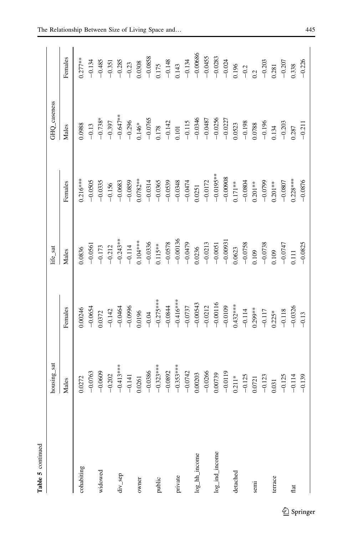| ı |
|---|

|                | housing_sat |                                     | life_sat                            |                                                                                                   | GHQ_caseness                                             |                                                                         |
|----------------|-------------|-------------------------------------|-------------------------------------|---------------------------------------------------------------------------------------------------|----------------------------------------------------------|-------------------------------------------------------------------------|
|                | Males       | Females                             | Males                               | Females                                                                                           | Males                                                    | Females                                                                 |
| cohabiting     | 0.0272      | 0.00246                             | 1.0836                              | $0.216***$                                                                                        | 0.0988                                                   | $0.277***$                                                              |
|                | $-0.0763$   | $-0.0654$                           | $-0.0561$                           | $-0.0505$                                                                                         | $-0.13$                                                  | $-0.134$                                                                |
| widowed        | $-0.0609$   | 0.372                               | $-0.173$                            | $-0.0335$                                                                                         | $-0.738*$                                                | $-0.485$                                                                |
|                | $-0.202$    | $-0.142$                            | $-0.212$                            | $-0.156$                                                                                          | $-0.397$                                                 |                                                                         |
| $div\_sep$     | $-0.413***$ |                                     | $-0.243**$<br>$-0.114$              | $-0.0683$                                                                                         | $-0.647**$<br>$-0.296$                                   | $-0.351$<br>$-0.285$<br>$-0.23$<br>$-0.23$<br>0.0308                    |
|                | $-0.141$    | $-0.0464$<br>$-0.0996$              |                                     | $-0.0859$                                                                                         |                                                          |                                                                         |
| owner          | 0.0261      | 0.0196                              | $0.104***$                          | $0.0782***$                                                                                       | $0.146*$                                                 |                                                                         |
|                | $-0.0386$   | $-0.04$                             |                                     |                                                                                                   |                                                          |                                                                         |
| public         | $-0.323***$ | $-0.275***$                         | $-0.0336$<br>0.115**                | $-0.0314$<br>$-0.0365$                                                                            | $\frac{-0.0765}{0.178}$<br>-0.142                        |                                                                         |
|                | $-0.0892$   | $-0.0844$                           | $-0.0578$                           | $-0.0539$                                                                                         |                                                          |                                                                         |
| private        | $-0.353***$ | $-0.416***$                         |                                     |                                                                                                   | 0.101                                                    |                                                                         |
|                | $-0.0742$   |                                     | $-0.00136$<br>$-0.0479$             |                                                                                                   |                                                          |                                                                         |
| log_hh_income  | 0.00203     | $-0.0737$<br>$-0.00543$             | 0.0236                              | $-0.0348$<br>$-0.0474$<br>$0.0251$                                                                | $-0.115$<br>$-0.0346$<br>$-0.0487$                       | $-0.0858$<br>0.175<br>$-0.148$<br>0.143<br>0.134<br>$-0.134$<br>0.00686 |
|                | $-0.0266$   | $-0.0212$                           | $-0.0213$                           | $-0.0172$<br>$-0.0195**$<br>$-0.00908$<br>0.171**                                                 |                                                          |                                                                         |
| log_ind_income | 0.00739     |                                     |                                     |                                                                                                   |                                                          |                                                                         |
|                | $-0.0119$   | $-0.00116$<br>$-0.0109$<br>0.432*** |                                     |                                                                                                   | $-0.0256$<br>$-0.0227$                                   | $-0.0283$<br>$-0.024$<br>0.196                                          |
| detached       | $0.211*$    |                                     | $-0.0051$<br>$-0.00931$<br>$0.0623$ |                                                                                                   | 0.523                                                    |                                                                         |
|                | $-0.125$    | $-0.114$                            | $-0.0758$                           |                                                                                                   | $-0.198$                                                 |                                                                         |
| semi           | 0.0721      |                                     |                                     |                                                                                                   |                                                          |                                                                         |
|                | $-0.123$    | $0.299**$                           | $0.109 - 0.0738$                    |                                                                                                   | 0.0788<br>-0.196                                         |                                                                         |
| terrace        | 0.31        | $0.225*$                            | 109                                 | $\begin{array}{r}\n -0.0804 \\  \hline\n 0.201** \\  -0.0799 \\  \hline\n 0.201** \\ \end{array}$ | 134                                                      | $\frac{-0.2}{0.2}$<br>$\frac{-0.203}{0.203}$                            |
|                | $-0.125$    | $-0.118$                            |                                     | $-0.0807$                                                                                         |                                                          |                                                                         |
| flat           | $-0.114$    | $-0.0326$                           | $-0.0747$<br>0.111                  | $0.228***$                                                                                        | $\begin{array}{r} -0.203 \\ 0.287 \\ -0.211 \end{array}$ | $-0.207$<br>0.338<br>$-0.226$                                           |
|                | $-0.139$    | $-0.13$                             | $-0.0825$                           | $-0.0876$                                                                                         |                                                          |                                                                         |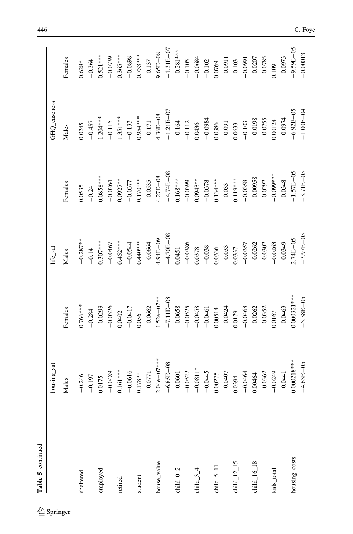| Table 5 continued          |                 |               |               |                       |                |               |
|----------------------------|-----------------|---------------|---------------|-----------------------|----------------|---------------|
|                            | housing_sat     |               | life_sat      |                       | GHQ_caseness   |               |
|                            | Males           | Females       | Males         | Females               | Males          | Females       |
| sheltered                  | $-0.246$        | $0.766***$    | $-0.287***$   | 0.0535                | 0.0245         | $0.628*$      |
|                            | $-0.197$        | $-0.284$      | $-0.14$       | $-0.24$               | $-0.457$       | $-0.364$      |
| employed                   | 0.0175          | $-0.0293$     | $0.307***$    | $0.0858***$           | $1.204***$     | $0.521***$    |
|                            | $-0.0489$       | $-0.0326$     | $-0.0467$     | $-0.0264$             | $-0.115$       | $-0.0739$     |
| retired                    | $0.161***$      | 0.0402        | $0.452***$    | $0.0927***$           | 1.351 ***      | $0.365***$    |
|                            | $-0.0616$       | $-0.0417$     | $-0.0544$     | $-0.0377$             | $-0.133$       | $-0.0898$     |
| student                    | $0.178***$      | 0.056         | $0.440***$    | $0.170***$            | 1.954 ***      | $0.733***$    |
|                            | $-0.0771$       | $-0.0662$     | $-0.0664$     | $-0.0535$             | $-0.171$       | $-0.137$      |
| house_value                | $2.04e - 07***$ | $1.52e-07**$  | 4.94E-09      | 4.27E-08              | $1.36E - 08$   | $9.65E - 08$  |
|                            | $-6.85E - 08$   | $-7.11E - 08$ | $-4.70E - 08$ | $-4.74E - 08$         | $-1.21E - 07$  | $-1.31E - 07$ |
| child $_{-0.2}$            | $-0.0601$       | $-0.0658$     | 0.0451        | $0.168***$            | $-0.164$       | $-0.281***$   |
|                            | $-0.0522$       | $-0.0525$     | $-0.0386$     | $-0.0399$             | $-0.112$       | $-0.105$      |
| child $34$                 | $-0.0811*$      | $-0.0458$     | 0.0378        | $0.0943**$            | 0.0436         | $-0.0684$     |
|                            | $-0.0445$       | $-0.0461$     | $-0.038$      |                       | $-0.0984$      | $-0.102$      |
| child $5$ $\overline{1}$ 1 | 0.00275         | 0.00514       | 0.0336        | $-0.0378$<br>0.134*** | 0.0386         | 0.0769        |
|                            | $-0.0407$       | $-0.0424$     | $-0.033$      | $-0.033$              | $-0.091$       | $-0.0911$     |
| child $\_12\_15$           | 0.0394          | 0.0179        | 0.0337        | $0.119***$            | 0.0633         | $-0.103$      |
|                            | $-0.0464$       | $-0.0468$     | $-0.0357$     | $-0.0358$             | $-0.103$       | $-0.0991$     |
| child $\_16\_18$           | 0.00464         | $-0.0262$     | $-0.0262$     | $-0.00958$            | $-0.0198$      | $-0.0207$     |
|                            | $-0.0362$       | $-0.0352$     | $-0.0302$     | $-0.0292$             | $-0.0755$      | $-0.0785$     |
| kids_total                 | $-0.0249$       | 1.0167        | $-0.0263$     | $-0.000$              | 0.00124        | 0.109         |
|                            | $-0.0441$       | $-0.0463$     | $-0.0349$     | $-0.0348$             | $-0.0974$      | $-0.0973$     |
| housing_costs              | $0.000218***$   | $0.000321***$ | $20 - 34$     | $-1.57E - 05$         | $-6.92E - 0.5$ | $-9.59E - 05$ |
|                            | $-4.63E - 05$   | $-5.38E - 05$ | $-3.97E - 05$ | $-3.71E - 05$         | $-1.00E - 04$  | $-0.00013$    |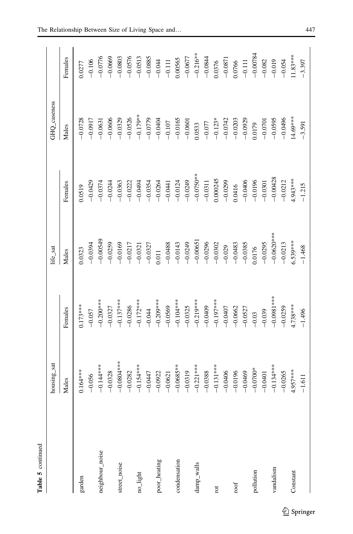| 5           |
|-------------|
| Ļ           |
| Ę<br>÷<br>ī |

|                 | housing_sat  |              | life_sat    |             | GHQ_caseness |            |
|-----------------|--------------|--------------|-------------|-------------|--------------|------------|
|                 | Males        | Females      | Males       | Females     | Males        | Females    |
| garden          | $0.164***$   | $0.173***$   | 0.323       | 0.0519      | $-0.0728$    | 0.0277     |
|                 | $-0.056$     | $-0.057$     | $-0.0394$   | $-0.0429$   | $-0.0917$    | $-0.106$   |
| neighbour_noise | $-0.144***$  | $-0.200***$  | $-0.00549$  | $-0.0374$   | $-0.0631$    | $-0.0776$  |
|                 | $-0.0328$    | $-0.0327$    | $-0.0259$   | $-0.0244$   | $-0.0606$    | $-0.0669$  |
| street_noise    | $-0.0804***$ | $-0.137***$  | $-0.0169$   | $-0.0363$   | $-0.0329$    | $-0.0803$  |
|                 | $-0.0282$    | $-0.0286$    | $-0.0217$   | $-0.0222$   | $-0.0526$    | $-0.0576$  |
| no_light        | $-0.154***$  | $-0.172***$  | $-0.0321$   | $-0.0494$   | $-0.179***$  | $-0.0513$  |
|                 | $-0.0447$    | $-0.044$     | $-0.0327$   | $-0.0354$   | $-0.0779$    | $-0.0885$  |
| poor_heating    | $-0.0922$    | $-0.209$ *** | 0.011       | $-0.0264$   | $-0.0404$    | $-0.044$   |
|                 | $-0.0621$    | $-0.0569$    | $-0.0488$   | $-0.0441$   | $-0.107$     | $-0.111$   |
| condensation    | $-0.0685**$  | $-0.104***$  | $-0.0143$   | $-0.0124$   | $-0.0165$    | 0.00565    |
|                 | $-0.0319$    | $-0.0325$    | $-0.0249$   | $-0.0249$   | $-0.0601$    | $-0.0677$  |
| damp_walls      | $-0.221***$  | $-0.219***$  | $-0.00651$  | $-0.0750**$ | 0.0533       | $-0.216**$ |
|                 | $-0.0388$    | $-0.0409$    | $-0.0296$   | $-0.0311$   | $-0.077$     | $-0.0844$  |
| rot             | $-0.131***$  | $-0.197***$  | $-0.0302$   | 0.000245    | $-0.123*$    | 0.0376     |
|                 | $-0.0406$    | $-0.0407$    | $-0.029$    | $-0.0299$   | $-0.0742$    | $-0.0871$  |
| roof            | $-0.0196$    | $-0.0662$    | $-0.0483$   | 0.0416      | $-0.0203$    | 0.0766     |
|                 | $-0.0469$    | $-0.0527$    | $-0.0385$   | $-0.0406$   | $-0.0929$    | $-0.111$   |
| pollution       | $-0.0700*$   | $-0.03$      | 0.0176      | $-0.0196$   | 0.0179       | $-0.0078$  |
|                 | $-0.0401$    | $-0.039$     | $-0.0295$   | $-0.0301$   | $-0.0701$    | $-0.082$   |
| vandalism       | $-0.134***$  | $-0.0981***$ | $-0.0620**$ | $-0.00428$  | $-0.0595$    | $-0.019$   |
|                 | $-0.0265$    | $-0.0259$    | $-0.0213$   | $-0.0212$   | $-0.0496$    | $-0.054$   |
| Constant        | 4.957***     | $4.738***$   | $6.539***$  | 4.943****   | $14.69***$   | $11.83***$ |
|                 | $-1.611$     | $-1.496$     | $-1.468$    | $-1.215$    | $-3.591$     | $-3.397$   |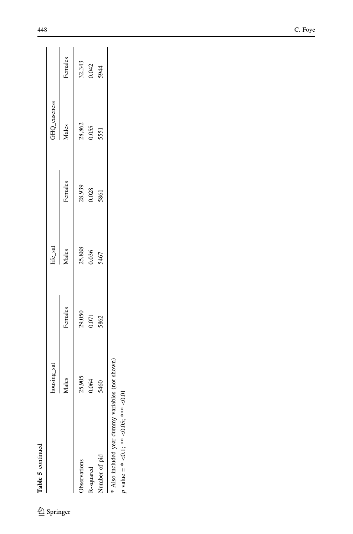| ၁ |
|---|
| u |
|   |
| 3 |
|   |

 $\underline{\textcircled{\tiny 2}}$  Springer

|                                                                                             | housing_sat |                 | life_sat        |                 | GHQ_caseness    |                 |
|---------------------------------------------------------------------------------------------|-------------|-----------------|-----------------|-----------------|-----------------|-----------------|
|                                                                                             | Males       | Females         | Males           | Females         | Males           | Females         |
| Observations                                                                                | 25,905      |                 |                 |                 |                 |                 |
| R-squared                                                                                   | 0.064       | 29,050<br>0.071 | 25,888<br>0.036 | 28,939<br>0.028 | 28,862<br>0.055 | 32,343<br>0.042 |
| Number of pid                                                                               | 5460        | 5862            | 5467            | 5861            | 5551            | 5944            |
| * Also included year dummy variables (not shown)<br>$p$ value = * <0.1; ** <0.05; *** <0.01 |             |                 |                 |                 |                 |                 |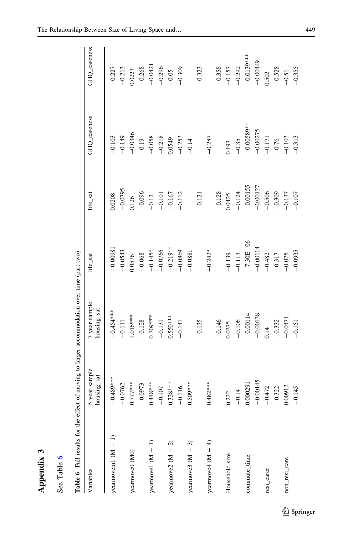| r |
|---|
| ۲ |
|   |
|   |
|   |
|   |
|   |

| ₿ |              | ρ<br>言       |
|---|--------------|--------------|
| υ | Table<br>See | <b>Cable</b> |

| <b>.</b><br>.<br>.<br>l                                             |
|---------------------------------------------------------------------|
|                                                                     |
| ŗ,<br>l                                                             |
| $\ddot{\phantom{a}}$<br>l                                           |
| . COOMANDO .<br>֕<br>j                                              |
|                                                                     |
|                                                                     |
| ֖֖֖֖֖֖֖֖֪ׅ֪ׅ֪ׅ֖ׅ֪ׅ֪֪ׅ֖֪֪ׅ֖ׅ֪֪֪֪֪֪֪֪֪ׅ֖֚֚֚֚֚֚֚֚֚֚֚֚֚֚֚֚֚֚֚֚֚֬֓֞<br>Í |
|                                                                     |
| ֖֖֖֖֖ׅ֖֧ׅ֖֖֧ׅ֖֧֖֖֖֧֚֚֚֚֚֚֚֚֚֚֚֚֚֚֚֚֚֚֚֚֚֚֚֚֚֚֚֚֚֚֚֚֚֚֡֝֝֝֬֝         |
| $\frac{1}{2}$                                                       |
| ļ<br>֘֒                                                             |
|                                                                     |
| I<br>۱                                                              |
| ۰                                                                   |
| anle<br>:                                                           |
| '<br>ו<br>I                                                         |

<span id="page-22-0"></span>

| Variables            | 5 year sample<br>housing_sat | 7 year sample<br>housing_sat | life_sat      | life_sat   | GHQ_caseness | GHQ_caseness |
|----------------------|------------------------------|------------------------------|---------------|------------|--------------|--------------|
| yearmovem1 $(M - 1)$ | $*$ * * $*$ 089 $+$ 0 $-$    | $-0.454**$                   | $-0.0098$     | 0.0208     | $-0.103$     | $-0.227$     |
|                      | $-0.0762$                    | $-0.111$                     | $-0.0543$     | $-0.0795$  | $-0.149$     | $-0.213$     |
| yearmove0 (M0)       | $0.777***$                   | $1.016***$                   | 0.0576        | 0.126      | $-0.0346$    | 0.0223       |
|                      | $-0.0973$                    | $-0.128$                     | $-0.068$      | $-0.096$   | $-0.19$      | $-0.268$     |
| yearnovel $(M + 1)$  | $0.448***$                   | $0.709***$                   | $-0.145*$     | $-0.12$    | $-0.058$     | $-0.0421$    |
|                      | $-0.107$                     | $-0.131$                     | $-0.0766$     | $-0.101$   | $-0.218$     | $-0.296$     |
| yearmove2 $(M + 2)$  | $0.338***$                   | $0.550***$                   | $-0.219**$    | $-0.167$   | 0.0549       | $-0.05$      |
|                      | $-0.116$                     | $-0.141$                     | $-0.0869$     | $-0.112$   | $-0.253$     | $-0.309$     |
| yearnove3 $(M + 3)$  | $0.509***$                   |                              | $-0.0881$     |            | $-0.14$      |              |
|                      |                              | $-0.135$                     |               | $-0.121$   |              | $-0.323$     |
| yearmove4 $(M + 4)$  | $0.482***$                   |                              | $-0.242*$     |            | $-0.287$     |              |
|                      |                              | $-0.146$                     |               | $-0.128$   |              | $-0.358$     |
| Household size       | 0.222                        | 0.0375                       | $-0.139$      | 0.0425     | 0.197        | $-0.157$     |
|                      | $-0.14$                      | $-0.106$                     | $-0.113$      | $-0.124$   | $-0.35$      | $-0.292$     |
| commute_time         | 0.000291                     | $-0.00114$                   | $-7.30E - 06$ | $-0.00155$ | $-0.00589**$ | $-0.0139***$ |
|                      | $-0.00145$                   | $-0.00138$                   | $-0.00114$    | $-0.00127$ | $-0.00275$   | $-0.00449$   |
| resi_carer           | $-0.472$                     | 0.14                         | $-0.482$      | $-0.506$   | $-0.171$     | 0.502        |
|                      | $-0.322$                     | $-0.332$                     | $-0.317$      | $-0.309$   | $-0.76$      | $-0.528$     |
| non_resi_care        | 0.00912                      | $-0.0471$                    | $-0.075$      | $-0.137$   | $-0.103$     | $-0.51$      |
|                      | $-0.145$                     | $-0.151$                     | $-0.0935$     | $-0.107$   | $-0.313$     | $-0.355$     |
|                      |                              |                              |               |            |              |              |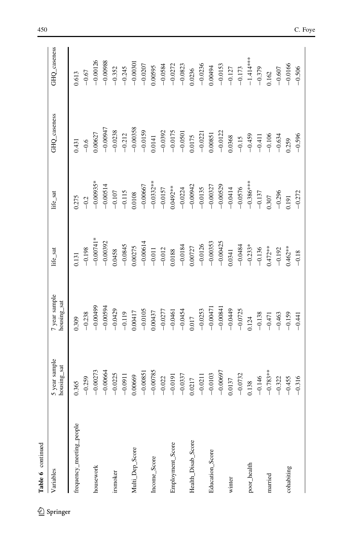| Table 6 continued        |                              |                              |                          |             |              |              |
|--------------------------|------------------------------|------------------------------|--------------------------|-------------|--------------|--------------|
| Variables                | 5 year sample<br>housing_sat | 7 year sample<br>housing_sat | life_sat                 | life_sat    | GHQ_caseness | GHQ_caseness |
| frequency_meeting_people | 0.365                        | 0.309                        | 0.131                    | 0.275       | 0.431        | 1.613        |
|                          | $-0.259$                     | $-0.238$                     | $-0.198$                 | $-0.2$      | $-0.6$       | $-0.67$      |
| housework                | $-0.00273$                   | $-0.00499$                   | $-0.00741*$              | $-0.00935*$ | 0.00627      | $-0.00126$   |
|                          | $-0.00664$                   | $-0.00594$                   | $-0.00392$               | $-0.00514$  | $-0.00947$   | $-0.00988$   |
| irsmoker                 | $-0.0225$                    | $-0.0429$                    | 0.0458                   | $-0.107$    | $-0.0238$    | $-0.352$     |
|                          | $-0.0911$                    | $-0.119$                     | $-0.0845$                | $-0.115$    | $-0.212$     | $-0.245$     |
| Multi_Dep_Score          | 0.00669                      | 0.00417                      | 0.00275                  | 0.0108      | $-0.00358$   | $-0.00301$   |
|                          | $-0.00851$                   | $-0.0105$                    | $-0.00614$               | $-0.00667$  | $-0.0159$    | $-0.0207$    |
| Income_Score             | $-0.00785$                   | 0.00437                      | $-0.011$                 | $-0.0332**$ | 0.0141       | 0.00595      |
|                          | $-0.022$                     | $-0.0277$                    | $-0.012$                 | $-0.0157$   | $-0.0392$    | $-0.0584$    |
| Employment_Score         | $-0.0191$                    | $-0.0461$                    | 0.0188                   | $0.0492***$ | $-0.0175$    | $-0.0272$    |
|                          | $-0.0337$                    | $-0.0454$                    | $-0.0184$                | $-0.0224$   | $-0.0501$    | $-0.0823$    |
| Health_Disab_Score       | 0.0217                       | 0.017                        | 0.00727                  | $-0.00942$  | 0.0175       | 0.0236       |
|                          | $-0.0211$                    | $-0.0253$                    | $-0.0126$                | $-0.0135$   | $-0.0221$    | $-0.0236$    |
| Education_Score          | $-0.0103$                    | $-0.00471$                   |                          | $-0.00327$  | 0.00851      | 0.00494      |
|                          | $-0.00697$                   | $-0.00841$                   | $-0.00353$<br>$-0.00425$ | $-0.00529$  | $-0.0122$    | $-0.0153$    |
| winter                   | 0.0137                       | $-0.0449$                    | 0.0341                   | $-0.0414$   | 0.0368       | $-0.127$     |
|                          | $-0.0732$                    | $-0.0725$                    | $-0.0484$                | $-0.0576$   | $-0.15$      | $-0.173$     |
| poor_health              | 1.138                        | 0.124                        | $-0.233*$                | $-0.386***$ | $-0.459$     | $-1.414***$  |
|                          | $-0.146$                     | $-0.138$                     | $-0.136$                 | $-0.137$    | $-0.411$     | $-0.379$     |
| married                  | $-0.783**$                   | $-0.471$                     | $0.472**$                | 0.307       | $-0.106$     | 1162         |
|                          | $-0.322$                     | $-0.463$                     | $-0.192$                 | $-0.296$    | $-0.634$     | $-0.607$     |
| cohabiting               | $-0.455$                     | $-0.159$                     | $0.462**$                | 0.191       | 0.259        | $-0.0166$    |
|                          | $-0.316$                     | $-0.441$                     | $-0.18$                  | $-0.272$    | $-0.596$     | $-0.506$     |

 $\underline{\textcircled{\tiny 2}}$  Springer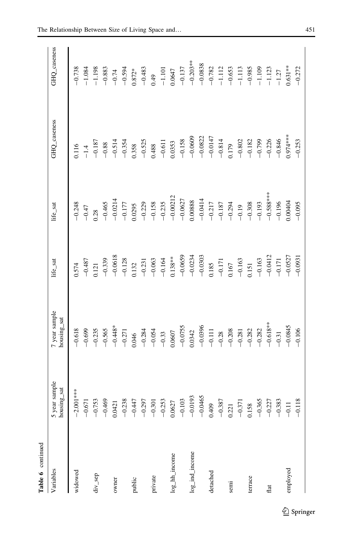| Table 6 continued |                                     |                                                           |                        |                                                              |                                                                                         |                                                                                                       |
|-------------------|-------------------------------------|-----------------------------------------------------------|------------------------|--------------------------------------------------------------|-----------------------------------------------------------------------------------------|-------------------------------------------------------------------------------------------------------|
| Variables         | 5 year sample<br>housing_sat        | 7 year sample<br>housing_sat                              | life_sat               | life_sat                                                     | GHQ_caseness                                                                            | GHQ_caseness                                                                                          |
| widowed           |                                     | $-0.618$                                                  | 0.574                  | $-0.248$                                                     | 0.116                                                                                   | $-0.738$                                                                                              |
|                   | $-2.001***$<br>$-0.671$<br>$-0.753$ | $-0.699$                                                  | $-0.487$               | $-0.47$                                                      |                                                                                         |                                                                                                       |
| div_sep           |                                     |                                                           | 0.121                  |                                                              | $\begin{array}{r} -1.4 \\ -0.187 \\ -0.88 \\ -0.514 \\ -0.514 \\ -0.514 \\ \end{array}$ | $\begin{array}{r} -1.084 \\ -1.198 \\ -0.833 \\ -0.594 \\ -0.594 \\ 0.872^* \\ -0.483 \\ \end{array}$ |
|                   | $-0.469$                            |                                                           | $-0.339$               | $0.28 - 0.465$                                               |                                                                                         |                                                                                                       |
| owner             | 0.0421                              | $-0.235$<br>$-0.565$<br>$-0.448$ *                        | $-0.0618$<br>$-0.128$  | $-0.0214$<br>$-0.177$<br>0.0295                              |                                                                                         |                                                                                                       |
|                   | $\tilde{8}$<br>$-0.23$              | $-0.271$                                                  |                        |                                                              |                                                                                         |                                                                                                       |
| public            | $-0.44$                             | 0.046                                                     | 0.132                  |                                                              | 0.358                                                                                   |                                                                                                       |
|                   | $-0.29$                             | $-0.284$                                                  | $-0.231$               | $-0.229$                                                     | $-0.525$                                                                                |                                                                                                       |
| private           | $-0.30$                             |                                                           | $-0.063$               |                                                              | 0.488                                                                                   |                                                                                                       |
|                   | $-0.253$                            | $-0.054$<br>$-0.33$<br>0.0607                             | $-0.164$               | $-0.158$<br>$-0.235$<br>$-0.00212$                           | $-0.611$                                                                                | $0.49 - 1.101$                                                                                        |
| log_hh_income     | 0.0627                              |                                                           | $0.138***$             |                                                              | 0.0353                                                                                  | 0.0647                                                                                                |
|                   | $-0.103$                            | $-0.0755$<br>0.0342                                       | $-0.0659$              |                                                              | $-0.158$                                                                                |                                                                                                       |
| log_ind_income    | $-0.0193$                           |                                                           |                        |                                                              | $-0.0609$                                                                               |                                                                                                       |
|                   | $-0.0465$                           | $-0.0396$                                                 | $-0.0234$<br>$-0.0303$ | $\begin{array}{r} -0.0627 \\ 0.00888 \\ -0.0414 \end{array}$ | $-0.0822$                                                                               | $-0.137$<br>$-0.203**$<br>$-0.0838$                                                                   |
| detached          | 0.409                               |                                                           | 0.185                  |                                                              |                                                                                         |                                                                                                       |
|                   | $-0.387$                            |                                                           |                        |                                                              | $-0.0147$<br>$-0.814$                                                                   |                                                                                                       |
| semi              | 0.221                               | $-0.111$<br>$-0.28$<br>$-0.208$                           | $-0.171$ 0.167         | $-0.217$<br>$-0.187$<br>$-0.294$                             | 1.179                                                                                   | $-0.782$<br>-1.112<br>-0.653                                                                          |
|                   | $-0.371$                            |                                                           | $-0.163$<br>0.151      |                                                              |                                                                                         |                                                                                                       |
| terrace           | 0.158                               |                                                           |                        | $\begin{array}{r} -0.19 \\ -0.308 \\ -0.193 \end{array}$     | $-0.802$<br>$-0.182$                                                                    |                                                                                                       |
|                   | $-0.36$                             | $\begin{array}{r} -0.281 \\ -0.282 \\ -0.282 \end{array}$ | $-0.163$               |                                                              | $-0.799$                                                                                | $-1.113$<br>$-0.985$<br>$-1.109$                                                                      |
| flat              | $-0.22$                             | $-0.618***$<br>-0.31                                      | $-0.0412$<br>$-0.171$  | $-0.588***$                                                  | $-0.226$<br>$-0.846$                                                                    | $-1.123$<br>-1.27                                                                                     |
|                   | $-0.38$                             |                                                           |                        | $-0.196$                                                     |                                                                                         |                                                                                                       |
| employed          | $-0.11$                             | $-0.0845$                                                 | $-0.0527$              | 0.00404                                                      | 1.974***                                                                                | $0.631***$                                                                                            |
|                   | ∝<br>$-0.11$                        | $-0.106$                                                  | $-0.0931$              | $-0.095$                                                     | $-0.253$                                                                                | $-0.272$                                                                                              |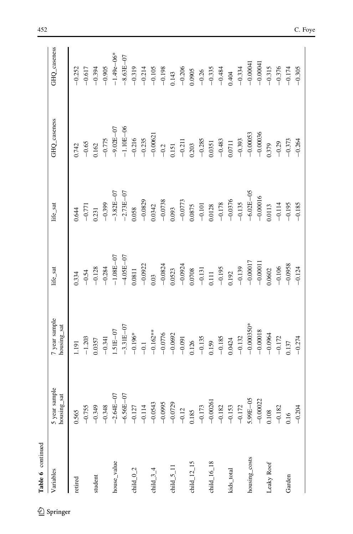| Table 6 continued                     |                              |                              |               |                                |                            |                                         |
|---------------------------------------|------------------------------|------------------------------|---------------|--------------------------------|----------------------------|-----------------------------------------|
| Variables                             | 5 year sample<br>housing_sat | 7 year sample<br>housing_sat | life_sat      | life_sat                       | GHQ_caseness               | GHQ_caseness                            |
| retired                               | 0.565                        | 1.191                        | 1334          | 0.644                          | 0.742                      | $-0.252$                                |
|                                       | $-0.755$                     | $-1.203$                     | $-0.54$       |                                | $-0.65$                    |                                         |
| student                               | $-0.349$                     | 0.0357                       | $-0.128$      | $\frac{-0.771}{0.231}$         | 1.162                      | $-0.617$<br>$-0.394$                    |
|                                       | $-0.348$                     | $-0.341$                     | $-0.284$      | $-0.399$                       | $-0.775$                   | $-0.905$                                |
| house_value                           | $-2.64E - 07$                | $1.51E - 07$                 | $-1.08E - 07$ | $-3.82E - 07$<br>$-2.73E - 07$ | $-9.02E - 07$<br>-1.10E-06 | $-1.49e - 06*$                          |
|                                       | $-6.56E - 07$                | $-3.31E - 07$                | $-4.05E - 07$ |                                |                            | $-8.63E - 07$                           |
| child $_0$ $_2$                       | $-0.127$                     | $-0.196*$                    | 0.0811        | 0.058                          | $-0.216$                   | $-0.319$                                |
|                                       | $-0.114$                     | $-6.1$                       | $-0.0922$     | $-0.0829$                      | $-0.235$                   | $-0.214$                                |
| child $34$                            | $-0.0543$                    | $-0.162**$                   | 0.03          | 0.0342                         | $-0.00621$                 | $-0.105$                                |
|                                       | $-0.0995$                    |                              | $-0.0824$     | $-0.0738$                      | $-0.2$                     |                                         |
| child $_5$ _11                        | $-0.0729$                    | $-0.0776$<br>$-0.0692$       | 0.0523        | 0.093                          | 0.151                      |                                         |
|                                       | $-0.12$                      | $-0.091$                     | $-0.0924$     | $-0.0773$                      | $-0.211$                   | $-0.198$<br>0.143<br>$-0.206$<br>0.0905 |
| child $\_12\_15$                      | 0.185                        | 0.126                        | 0.0708        | 0.0875                         | 0.203                      |                                         |
|                                       | $-0.173$                     | $-0.135$                     | $-0.131$      | $-0.101$<br>0.0128             | $-0.285$                   | $-0.26$                                 |
| child $16$ <sub><math>18</math></sub> | $-0.0026$                    | 0.159                        | $0.111$       |                                | 0.0351                     |                                         |
|                                       | $-0.182$                     | $-0.185$                     | $-0.195$      |                                | $-0.483$                   |                                         |
| kids_total                            | $-0.153$                     | 1,0424                       | 0.192         | $-0.178$<br>$-0.0376$          | 0.0711                     | $-0.335$<br>$-0.484$<br>0.404           |
|                                       | $-0.172$                     | $-0.132$                     | $-0.139$      | $-0.135$                       | $-0.393$                   | $-0.334$                                |
| housing_costs                         | $5.99E - 05$                 | $-0.000350*$                 | $-0.00017$    | $-6.02E - 05$                  | $-0.00053$                 | $-0.00041$                              |
|                                       | $-0.0002$                    | $-0.00018$                   | $-0.0001$     | $-0.00016$                     | $-0.00036$                 | $-0.00041$                              |
| Leaky Roof                            | 0.108                        | $-0.0964$                    | 0.0602        | 0.113                          | 1.379                      | $-0.315$                                |
|                                       | $-0.182$                     | $-0.172$                     | $-0.106$      | $-0.114$                       | $-0.29$                    | $-0.376$                                |
| Garden                                | 0.16                         | 0.137                        | $-0.0958$     | $-0.195$                       | $-0.373$                   | $-0.174$                                |
|                                       | $-0.204$                     | $-0.274$                     | $-0.124$      | $-0.185$                       | $-0.264$                   | $-0.305$                                |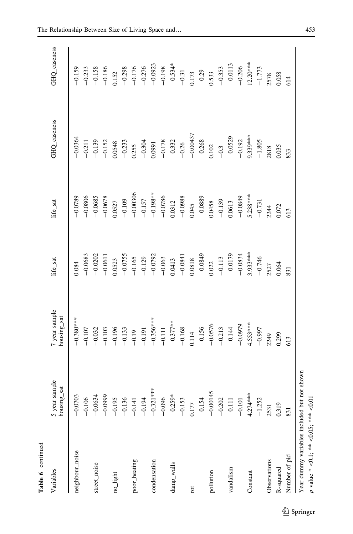| Table 6 continued                           |                              |                                                       |            |             |                                                           |                                                                                                                                                                                                                                                                                                                                    |
|---------------------------------------------|------------------------------|-------------------------------------------------------|------------|-------------|-----------------------------------------------------------|------------------------------------------------------------------------------------------------------------------------------------------------------------------------------------------------------------------------------------------------------------------------------------------------------------------------------------|
| Variables                                   | 5 year sample<br>housing_sat | / year sample<br>housing_sat                          | life_sat   | life_sat    | GHQ_caseness                                              | GHQ_caseness                                                                                                                                                                                                                                                                                                                       |
| neighbour_noise                             | $-0.0703$                    | $-0.380***$                                           | 0.084      | $-0.0789$   | $-0.0364$                                                 | $-0.159$                                                                                                                                                                                                                                                                                                                           |
|                                             |                              | $-0.107$                                              | $-0.0683$  | $-0.0806$   | $-0.211$                                                  | $-0.233$                                                                                                                                                                                                                                                                                                                           |
| street_noise                                | $-0.106$<br>$-0.0634$        | $-0.032$                                              | $-0.0202$  | $-0.0685$   | $-0.139$                                                  |                                                                                                                                                                                                                                                                                                                                    |
|                                             | $-0.0999$                    | $-0.103$                                              | $-0.0611$  | $-0.0678$   | $-0.152$                                                  | $-0.158$<br>$-0.186$                                                                                                                                                                                                                                                                                                               |
| no_light                                    | $-0.195$                     | $-0.196$                                              | 0.0523     | 0.0527      | 1.0548                                                    | 0.152                                                                                                                                                                                                                                                                                                                              |
|                                             | $-0.136$                     |                                                       | $-0.0755$  | $-0.109$    | $-0.233$                                                  |                                                                                                                                                                                                                                                                                                                                    |
| poor_heating                                | $-0.141$                     | $-0.133$<br>$-0.19$                                   | $-0.165$   | $-0.00306$  | 0.255                                                     | $\begin{array}{r} -0.298 \\ -0.176 \\ -0.0923 \\ -0.0933 \\ -0.534 \\ -0.534 \\ -0.31 \\ -0.31 \\ -0.29 \\ -0.33 \\ -0.33 \\ -0.0113 \\ -0.0113 \\ -0.0113 \\ -0.0113 \\ -0.006 \\ -0.006 \\ -0.006 \\ -0.006 \\ -0.006 \\ -0.006 \\ -0.006 \\ -0.006 \\ -0.006 \\ -0.006 \\ -0.006 \\ -0.006 \\ -0.006 \\ -0.006 \\ -0.006 \\ -0$ |
|                                             | $-0.194$                     | $-0.191$                                              | $-0.129$   | $-0.157$    | $-0.304$                                                  |                                                                                                                                                                                                                                                                                                                                    |
| condensation                                | $-0.321***$                  |                                                       | $-0.0792$  | $-0.198***$ | 0.0991                                                    |                                                                                                                                                                                                                                                                                                                                    |
|                                             | $-0.096$                     | $-0.356***$                                           | $-0.063$   | $-0.0786$   |                                                           |                                                                                                                                                                                                                                                                                                                                    |
| damp_walls                                  | $-0.259*$                    |                                                       | 0.0413     | 0.0312      |                                                           |                                                                                                                                                                                                                                                                                                                                    |
|                                             | $-0.153$                     | $-0.377***$<br>-0.168                                 | $-0.0841$  | $-0.0988$   | $-0.178$<br>$-0.332$<br>$-0.26$<br>$-0.00437$<br>$-0.268$ |                                                                                                                                                                                                                                                                                                                                    |
| rot                                         | 0.177                        |                                                       | 0.0818     | 0.045       |                                                           |                                                                                                                                                                                                                                                                                                                                    |
|                                             | $-0.154$                     |                                                       | $-0.0849$  | $-0.0889$   |                                                           |                                                                                                                                                                                                                                                                                                                                    |
| pollution                                   | $-0.00145$                   | $\begin{array}{r}0.114\\ -0.156\\ -0.0576\end{array}$ | 0.022      | 0.0458      | 0.102                                                     |                                                                                                                                                                                                                                                                                                                                    |
|                                             | $-0.202$                     |                                                       | $-0.113$   | $-0.139$    | $-0.3$<br>$-0.0529$                                       |                                                                                                                                                                                                                                                                                                                                    |
| vandalism                                   | $-0.111$                     | $-0.213$<br>$-0.144$                                  | $-0.0179$  | 0.0613      |                                                           |                                                                                                                                                                                                                                                                                                                                    |
|                                             | $-0.101$                     | $-0.0979$                                             | $-0.0834$  | $-0.0849$   | $-0.192$                                                  |                                                                                                                                                                                                                                                                                                                                    |
| Constant                                    | $4.274***$                   | $4.553***$                                            | $3.933***$ | $5.238***$  | $0.339***$                                                |                                                                                                                                                                                                                                                                                                                                    |
|                                             | $-1.252$                     | $-0.997$                                              | $-0.746$   | $-0.731$    | $-1.805$                                                  |                                                                                                                                                                                                                                                                                                                                    |
| Observations                                | 2531                         | 2249                                                  | 2527       | 2244        | 2818                                                      | $12.20***$<br>-1.773<br>2578                                                                                                                                                                                                                                                                                                       |
| R-squared                                   | 0.319                        | 0.299                                                 | 0.064      | 0.072       | 0.35                                                      | 0.58                                                                                                                                                                                                                                                                                                                               |
| Number of pid                               | 831                          | 613                                                   | 831        | 613         | 833                                                       | 614                                                                                                                                                                                                                                                                                                                                |
| Year dummy variables included but not shown |                              |                                                       |            |             |                                                           |                                                                                                                                                                                                                                                                                                                                    |

p value \*

 $\heartsuit$ 

 $\leq$ 0.05: \*\*\*

 $\overline{\odot}0.01$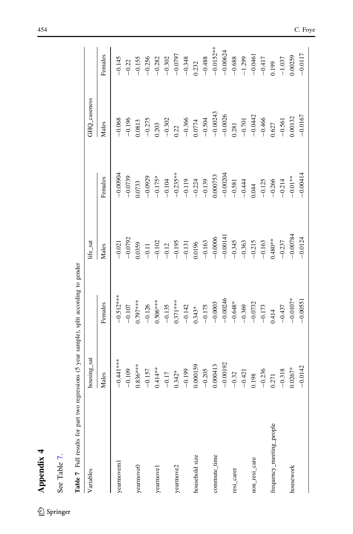<span id="page-27-0"></span>

| Table 7 Full results for part two regressions (5 year sample), split according to gender |              |             |            |             |              |             |
|------------------------------------------------------------------------------------------|--------------|-------------|------------|-------------|--------------|-------------|
| Variables                                                                                | housing_sat  |             | life_sat   |             | GHQ_caseness |             |
|                                                                                          | Males        | Females     | Males      | Females     | Males        | Females     |
| yearmoveml                                                                               | $-0.441$ *** | $-0.512***$ | $-0.021$   | $-0.00004$  | $-0.068$     | $-0.145$    |
|                                                                                          | $-0.109$     | $-0.107$    | $-0.0792$  | $-0.0739$   | $-0.196$     | $-0.22$     |
| yearmove0                                                                                | $0.836***$   | $0.797***$  | 0.0359     | 0.0733      | 0.0813       | $-0.155$    |
|                                                                                          | $-0.157$     | $-0.126$    | $-0.11$    | $-0.0929$   | $-0.275$     | $-0.256$    |
| yearmove1                                                                                | $0.414**$    | $0.506***$  | $-0.102$   | $-0.175*$   | 0.203        | $-0.282$    |
|                                                                                          | $-0.17$      | $-0.135$    | $-0.12$    | $-0.104$    | $-0.302$     | $-0.302$    |
| yearmove2                                                                                | $0.342*$     | $0.371***$  | $-0.195$   | $-0.235***$ | 0.22         | $-0.0797$   |
|                                                                                          | $-0.199$     | $-0.142$    | $-0.131$   | $-0.119$    | $-0.366$     | $-0.348$    |
| household size                                                                           | 0.000159     | $0.343*$    | 0.0196     | $-0.224$    | 0.0774       | 0.232       |
|                                                                                          | $-0.205$     | $-0.175$    | $-0.163$   | $-0.139$    | $-0.504$     | $-0.488$    |
| commute_time                                                                             | 0.000413     | $-0.0003$   | $-0.0006$  | 0.000753    | $-0.00243$   | $-0.0152**$ |
|                                                                                          | $-0.00192$   | $-0.00246$  | $-0.0014$  | $-0.00204$  | $-0.0026$    | $-0.00624$  |
| resi_carer                                                                               | $-0.32$      | $-0.648*$   | $-0.345$   | $-0.581$    | 0.281        | $-0.688$    |
|                                                                                          | $-0.421$     | $-0.369$    | $-0.363$   | $-0.444$    | $-0.701$     | $-1.299$    |
| non_resi_care                                                                            | 0.198        | $-0.0732$   | $-0.215$   | 0.044       | $-0.0442$    | $-0.0461$   |
|                                                                                          | $-0.236$     | $-0.173$    | $-0.163$   | $-0.125$    | $-0.466$     | $-0.417$    |
| frequency_meeting_people                                                                 | 0.271        | 0.414       | $0.480***$ | $-0.266$    | 0.627        | 0.199       |
|                                                                                          | $-0.318$     | $-0.437$    | $-0.237$   | $-0.214$    | $-0.561$     | $-1.037$    |
| housework                                                                                | $0.0267*$    | $-0.0107*$  | $-0.00784$ | $-0.01**$   | 0.00132      | 0.00259     |
|                                                                                          | $-0.0142$    | $-0.0055$   | $-0.0124$  | $-0.00414$  | $-0.0167$    | $-0.0117$   |

 $\underline{\textcircled{\tiny 2}}$  Springer

See Table 7.

See Table 7.

Appendix 4

Appendix 4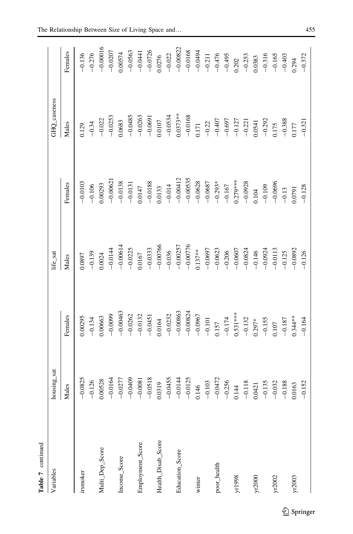|   | ŗ<br>î |
|---|--------|
| r |        |
|   | ۵      |

| Variables          | housing_sat                    |                                                                                   | life_sat                            |                                                                                                                              | GHQ_caseness                                                                                                                 |                         |
|--------------------|--------------------------------|-----------------------------------------------------------------------------------|-------------------------------------|------------------------------------------------------------------------------------------------------------------------------|------------------------------------------------------------------------------------------------------------------------------|-------------------------|
|                    | Males                          | Females                                                                           | Males                               | Females                                                                                                                      | Males                                                                                                                        | Females                 |
| irsmoker           | $-0.0825$                      | 1.00295                                                                           | 1680.0                              | $-0.0103$                                                                                                                    | 0.129                                                                                                                        | $-0.136$                |
|                    | $-0.126$                       | $-0.134$                                                                          |                                     |                                                                                                                              |                                                                                                                              | $-0.276$                |
| Multi_Dep_Score    | 0.00528                        | 0.00663                                                                           | $-0.139$<br>$0.0024$                | $-0.106$<br>0.00293                                                                                                          | $-0.34$<br>$-0.022$                                                                                                          | $-0.00016$              |
|                    | $-0.0164$                      |                                                                                   |                                     |                                                                                                                              | $-0.0253$                                                                                                                    | $-0.0207$               |
| Income_Score       | $-0.0277$                      | $-0.0099$<br>$-0.00463$<br>$-0.0262$                                              | $-0.0144\n-0.00614\n-0.0225$        | $-0.00621$<br>$-0.0138$                                                                                                      | 1.0683                                                                                                                       | 0.00574                 |
|                    | $-0.0409$                      |                                                                                   |                                     | $-0.0131$                                                                                                                    | $-0.0485$                                                                                                                    | $-0.0563$               |
| Employment_Score   | $-0.0081$                      | $-0.0132$                                                                         | 0.0167                              |                                                                                                                              |                                                                                                                              | $-0.0441$               |
|                    | $-0.0518$                      |                                                                                   |                                     |                                                                                                                              |                                                                                                                              |                         |
| Health_Disab_Score | 0.0319                         | $-0.0451$<br>0.0164                                                               | $-0.0333$<br>$-0.00766$<br>$-0.036$ | $\begin{array}{r} 0.0147 \\ -0.0188 \\ 0.0133 \\ -0.014 \\ -0.00412 \\ -0.00535 \\ -0.0628 \\ -0.0628 \\ -0.067 \end{array}$ | $\begin{array}{r} -0.0263 \\ -0.0691 \\ 0.0107 \end{array}$                                                                  | $-0.0726$<br>$0.0276$   |
|                    | $-0.0455$                      |                                                                                   |                                     |                                                                                                                              | $-0.0534$                                                                                                                    | $-0.022$                |
| Education_Score    | $-0.0144$                      |                                                                                   |                                     |                                                                                                                              |                                                                                                                              |                         |
|                    | $-0.0125$                      | $\begin{array}{r} -0.0232 \\ -0.00863 \\ \end{array}$                             | $-0.00257$<br>$-0.00776$            |                                                                                                                              |                                                                                                                              | $-0.00822$<br>$-0.0168$ |
| winter             | 0.146                          |                                                                                   | $0.137***$                          |                                                                                                                              |                                                                                                                              |                         |
|                    | $-0.103$                       | $-0.0967$<br>$-0.101$                                                             | $-0.0697$                           |                                                                                                                              |                                                                                                                              | $-0.0494$<br>$-0.211$   |
| poor_health        |                                |                                                                                   |                                     |                                                                                                                              |                                                                                                                              |                         |
|                    | $-0.0472$<br>$-0.256$<br>0.144 |                                                                                   |                                     |                                                                                                                              |                                                                                                                              | $-0.476$<br>$-0.495$    |
| yr1998             |                                | $\begin{array}{c} 0.157 \\ -0.174 \\ 0.531*** \end{array}$                        | $-0.0623$<br>$-0.206$<br>$-0.0607$  | $-0.293*$<br>$-0.167$<br>0.279***                                                                                            | $\begin{array}{r} 0.0373^{**} \\ -0.0168 \\ -0.171 \\ -0.22 \\ -0.407 \\ -0.697 \\ -0.127 \\ -0.127 \\ -0.21 \\ \end{array}$ | 0.202                   |
|                    | $-0.118$                       |                                                                                   | $-0.0824$<br>$-0.146$<br>$-0.0924$  |                                                                                                                              |                                                                                                                              | $-0.253$                |
| yr2000             | 0.0421                         |                                                                                   |                                     |                                                                                                                              |                                                                                                                              | $0.0383$<br>-0.316      |
|                    | $-0.135$                       |                                                                                   |                                     |                                                                                                                              |                                                                                                                              |                         |
| yr2002             | $-0.032$                       | $-0.132$<br>$0.297*$<br>$-0.155$<br>$-0.165$<br>$-0.187$<br>$-0.187$<br>$0.344**$ | $-0.0113$                           | $-0.0928$<br>0.104<br>$-0.109$<br>$-0.109$                                                                                   | $\begin{array}{r}0.0541\\ -0.292\\ 0.175\\ -0.388\\ 0.177\\ -0.321\end{array}$                                               | $-0.165$                |
|                    | $-0.188$                       |                                                                                   | $-0.125$                            |                                                                                                                              |                                                                                                                              | $-0.403$                |
| yr2003             | 0.0163                         |                                                                                   | $-0.0892$                           | $\frac{-0.13}{0.0791}$                                                                                                       |                                                                                                                              | 0.294                   |
|                    | $-0.152$                       | $-0.164$                                                                          | $-0.126$                            |                                                                                                                              |                                                                                                                              | $-0.372$                |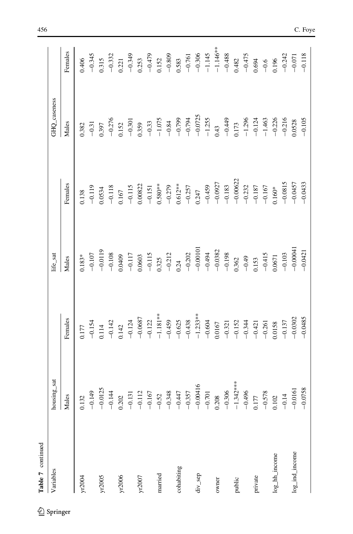| Table 7 continued |                                                                                                                                                                                                                                                                                                |                                                                                                                                                                                                                                                                                                                                   |                                                                                                                                                                                                                                                                                                                                 |                                                                                                                                                                                                                                                                                                                                             |                                                                                                                                                                                                                               |                                                                                                                                                          |
|-------------------|------------------------------------------------------------------------------------------------------------------------------------------------------------------------------------------------------------------------------------------------------------------------------------------------|-----------------------------------------------------------------------------------------------------------------------------------------------------------------------------------------------------------------------------------------------------------------------------------------------------------------------------------|---------------------------------------------------------------------------------------------------------------------------------------------------------------------------------------------------------------------------------------------------------------------------------------------------------------------------------|---------------------------------------------------------------------------------------------------------------------------------------------------------------------------------------------------------------------------------------------------------------------------------------------------------------------------------------------|-------------------------------------------------------------------------------------------------------------------------------------------------------------------------------------------------------------------------------|----------------------------------------------------------------------------------------------------------------------------------------------------------|
| Variables         | housing_sat<br>$\mathbf l$                                                                                                                                                                                                                                                                     |                                                                                                                                                                                                                                                                                                                                   | life_sat                                                                                                                                                                                                                                                                                                                        |                                                                                                                                                                                                                                                                                                                                             | GHQ_caseness                                                                                                                                                                                                                  |                                                                                                                                                          |
|                   | Males                                                                                                                                                                                                                                                                                          | Females                                                                                                                                                                                                                                                                                                                           | Males                                                                                                                                                                                                                                                                                                                           | Females                                                                                                                                                                                                                                                                                                                                     | Males                                                                                                                                                                                                                         | Females                                                                                                                                                  |
| yr2004            |                                                                                                                                                                                                                                                                                                |                                                                                                                                                                                                                                                                                                                                   | $0.183*$                                                                                                                                                                                                                                                                                                                        | 0.138                                                                                                                                                                                                                                                                                                                                       | 0.382                                                                                                                                                                                                                         | 0.406                                                                                                                                                    |
|                   | $\frac{0.132}{-0.149}$                                                                                                                                                                                                                                                                         | $0.177 - 0.154$                                                                                                                                                                                                                                                                                                                   | $-0.107$                                                                                                                                                                                                                                                                                                                        | $-0.119$                                                                                                                                                                                                                                                                                                                                    | $-0.31$                                                                                                                                                                                                                       | $-0.345$                                                                                                                                                 |
| yr2005            | $\begin{array}{cccccccc} -0.0125 & -0.0125 & -0.0125 & -0.0144 & -0.0125 & -0.0144 & -0.0131 & -0.121 & -0.0147 & -0.00416 & -0.00416 & -0.00416 & -0.00416 & -0.00416 & -0.00416 & -0.00416 & -0.00416 & -0.00416 & -0.00416 & -0.00416 & -0.00416 & -0.00416 & -0.00416 & -0.00416 & -0.004$ | $\begin{array}{l} 114 \\ -0.142 \\ -0.124 \\ -0.0687 \\ -0.028 \\ -0.024 \\ -0.121 \\ -0.049 \\ -0.049 \\ -0.049 \\ -0.049 \\ -0.005 \\ -0.005 \\ -0.015 \\ -0.000 \\ -0.019 \\ -0.000 \\ -0.000 \\ -0.000 \\ -0.000 \\ -0.000 \\ -0.000 \\ -0.000 \\ -0.000 \\ -0.000 \\ -0.000 \\ -0.000 \\ -0.000 \\ -0.000 \\ -0.000 \\ -0.0$ | $\begin{array}{r} -0.0119 \\ -0.108 \\ -0.117 \\ -0.115 \\ -0.0409 \\ -0.0503 \\ -0.212 \\ -0.212 \\ -0.202 \\ -0.00101 \\ -0.0001 \\ -0.038 \\ -0.398 \\ -0.398 \\ -0.398 \\ -0.398 \\ -0.398 \\ -0.398 \\ -0.393 \\ -0.393 \\ -0.393 \\ -0.393 \\ -0.393 \\ -0.393 \\ -0.393 \\ -0.393 \\ -0.393 \\ -0.393 \\ -0.393 \\ -0.3$ |                                                                                                                                                                                                                                                                                                                                             |                                                                                                                                                                                                                               |                                                                                                                                                          |
|                   |                                                                                                                                                                                                                                                                                                |                                                                                                                                                                                                                                                                                                                                   |                                                                                                                                                                                                                                                                                                                                 | $\begin{array}{c} 0.0534 \\ -0.118 \\ 0.167 \end{array}$                                                                                                                                                                                                                                                                                    | $\begin{array}{c} 0.397 \\ -0.276 \\ 0.152 \end{array}$                                                                                                                                                                       | 0.315<br>$-0.332$<br>$-0.332$<br>$-0.333$<br>$-0.333$<br>$-0.333$<br>$-0.333$<br>$-0.479$<br>$-0.509$<br>$-0.761$<br>$-0.761$<br>$-0.761$<br>$-1.44$ *** |
| yr2006            |                                                                                                                                                                                                                                                                                                |                                                                                                                                                                                                                                                                                                                                   |                                                                                                                                                                                                                                                                                                                                 |                                                                                                                                                                                                                                                                                                                                             |                                                                                                                                                                                                                               |                                                                                                                                                          |
|                   |                                                                                                                                                                                                                                                                                                |                                                                                                                                                                                                                                                                                                                                   |                                                                                                                                                                                                                                                                                                                                 |                                                                                                                                                                                                                                                                                                                                             |                                                                                                                                                                                                                               |                                                                                                                                                          |
| yr2007            |                                                                                                                                                                                                                                                                                                |                                                                                                                                                                                                                                                                                                                                   |                                                                                                                                                                                                                                                                                                                                 |                                                                                                                                                                                                                                                                                                                                             |                                                                                                                                                                                                                               |                                                                                                                                                          |
|                   |                                                                                                                                                                                                                                                                                                |                                                                                                                                                                                                                                                                                                                                   |                                                                                                                                                                                                                                                                                                                                 |                                                                                                                                                                                                                                                                                                                                             |                                                                                                                                                                                                                               |                                                                                                                                                          |
| married           |                                                                                                                                                                                                                                                                                                |                                                                                                                                                                                                                                                                                                                                   |                                                                                                                                                                                                                                                                                                                                 |                                                                                                                                                                                                                                                                                                                                             |                                                                                                                                                                                                                               |                                                                                                                                                          |
|                   |                                                                                                                                                                                                                                                                                                |                                                                                                                                                                                                                                                                                                                                   |                                                                                                                                                                                                                                                                                                                                 |                                                                                                                                                                                                                                                                                                                                             |                                                                                                                                                                                                                               |                                                                                                                                                          |
| cohabiting        |                                                                                                                                                                                                                                                                                                |                                                                                                                                                                                                                                                                                                                                   |                                                                                                                                                                                                                                                                                                                                 |                                                                                                                                                                                                                                                                                                                                             |                                                                                                                                                                                                                               |                                                                                                                                                          |
|                   |                                                                                                                                                                                                                                                                                                |                                                                                                                                                                                                                                                                                                                                   |                                                                                                                                                                                                                                                                                                                                 |                                                                                                                                                                                                                                                                                                                                             |                                                                                                                                                                                                                               |                                                                                                                                                          |
| div_sep           |                                                                                                                                                                                                                                                                                                |                                                                                                                                                                                                                                                                                                                                   |                                                                                                                                                                                                                                                                                                                                 |                                                                                                                                                                                                                                                                                                                                             |                                                                                                                                                                                                                               |                                                                                                                                                          |
|                   |                                                                                                                                                                                                                                                                                                |                                                                                                                                                                                                                                                                                                                                   |                                                                                                                                                                                                                                                                                                                                 |                                                                                                                                                                                                                                                                                                                                             |                                                                                                                                                                                                                               |                                                                                                                                                          |
| owner             |                                                                                                                                                                                                                                                                                                |                                                                                                                                                                                                                                                                                                                                   |                                                                                                                                                                                                                                                                                                                                 | $\begin{array}{r} -0.115 \\ -0.151 \\ -0.580^{\ast\ast} \\ 0.580^{\ast\ast} \\ -0.279 \\ -0.247 \\ -0.357 \\ -0.459 \\ -0.0927 \\ -0.0927 \\ -0.00622 \\ -0.033 \\ -0.187 \\ -0.187 \\ -0.167 \\ -0.167 \\ -0.160^{\ast\ast} \\ 0.160^{\ast\ast} \\ 0.160^{\ast\ast} \\ 0.160^{\ast\ast} \\ 0.160^{\ast\ast} \\ 0.160^{\ast\ast} \\ 0.160^$ | $-0.30$<br>$-0.35$<br>$-1.075$<br>$-1.075$<br>$-1.075$<br>$-0.794$<br>$-0.794$<br>$-0.794$<br>$-0.43$<br>$-1.296$<br>$-1.296$<br>$-1.296$<br>$-1.296$<br>$-1.296$<br>$-1.296$<br>$-1.296$<br>$-1.296$<br>$-1.296$<br>$-1.296$ |                                                                                                                                                          |
|                   |                                                                                                                                                                                                                                                                                                |                                                                                                                                                                                                                                                                                                                                   |                                                                                                                                                                                                                                                                                                                                 |                                                                                                                                                                                                                                                                                                                                             |                                                                                                                                                                                                                               |                                                                                                                                                          |
| public            |                                                                                                                                                                                                                                                                                                |                                                                                                                                                                                                                                                                                                                                   |                                                                                                                                                                                                                                                                                                                                 |                                                                                                                                                                                                                                                                                                                                             |                                                                                                                                                                                                                               |                                                                                                                                                          |
|                   |                                                                                                                                                                                                                                                                                                |                                                                                                                                                                                                                                                                                                                                   |                                                                                                                                                                                                                                                                                                                                 |                                                                                                                                                                                                                                                                                                                                             |                                                                                                                                                                                                                               |                                                                                                                                                          |
| private           |                                                                                                                                                                                                                                                                                                |                                                                                                                                                                                                                                                                                                                                   |                                                                                                                                                                                                                                                                                                                                 |                                                                                                                                                                                                                                                                                                                                             |                                                                                                                                                                                                                               |                                                                                                                                                          |
|                   |                                                                                                                                                                                                                                                                                                |                                                                                                                                                                                                                                                                                                                                   |                                                                                                                                                                                                                                                                                                                                 |                                                                                                                                                                                                                                                                                                                                             |                                                                                                                                                                                                                               |                                                                                                                                                          |
| log_hh_income     |                                                                                                                                                                                                                                                                                                |                                                                                                                                                                                                                                                                                                                                   | $-0.415$<br>0.0671                                                                                                                                                                                                                                                                                                              |                                                                                                                                                                                                                                                                                                                                             |                                                                                                                                                                                                                               | $\begin{array}{r} 0.482 \\ -0.475 \\ 0.694 \\ -0.6 \\ -0.6 \\ 0.196 \end{array}$                                                                         |
|                   |                                                                                                                                                                                                                                                                                                |                                                                                                                                                                                                                                                                                                                                   |                                                                                                                                                                                                                                                                                                                                 |                                                                                                                                                                                                                                                                                                                                             |                                                                                                                                                                                                                               |                                                                                                                                                          |
| log_ind_income    |                                                                                                                                                                                                                                                                                                | $-0.137$<br>$-0.0302$<br>$-0.0485$                                                                                                                                                                                                                                                                                                | $-0.103$<br>$-0.00041$<br>$-0.0421$                                                                                                                                                                                                                                                                                             | $-0.0815$<br>$-0.0457$<br>$-0.0433$                                                                                                                                                                                                                                                                                                         |                                                                                                                                                                                                                               | $-0.242$<br>$-0.071$                                                                                                                                     |
|                   |                                                                                                                                                                                                                                                                                                |                                                                                                                                                                                                                                                                                                                                   |                                                                                                                                                                                                                                                                                                                                 |                                                                                                                                                                                                                                                                                                                                             |                                                                                                                                                                                                                               | $-0.118$                                                                                                                                                 |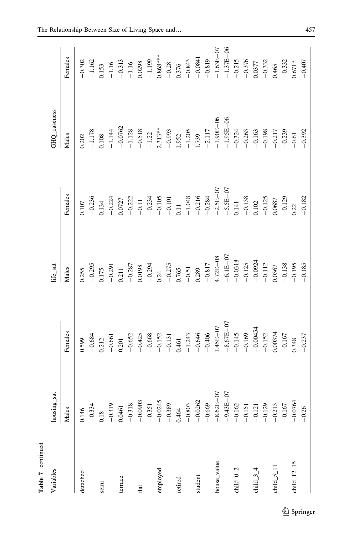| Table 7 continued                     |               |                                                                                                                                                                                                                                                                                                    |                                                                                                                                                                                                                                                                            |                                                                                                                                                                                                                                                                                |                                                                                                                           |                                                                                                                                                                                                                                                                                                               |
|---------------------------------------|---------------|----------------------------------------------------------------------------------------------------------------------------------------------------------------------------------------------------------------------------------------------------------------------------------------------------|----------------------------------------------------------------------------------------------------------------------------------------------------------------------------------------------------------------------------------------------------------------------------|--------------------------------------------------------------------------------------------------------------------------------------------------------------------------------------------------------------------------------------------------------------------------------|---------------------------------------------------------------------------------------------------------------------------|---------------------------------------------------------------------------------------------------------------------------------------------------------------------------------------------------------------------------------------------------------------------------------------------------------------|
| Variables                             | housing_sat   |                                                                                                                                                                                                                                                                                                    | life_sat                                                                                                                                                                                                                                                                   |                                                                                                                                                                                                                                                                                | GHQ_caseness                                                                                                              |                                                                                                                                                                                                                                                                                                               |
|                                       | Males         | Females                                                                                                                                                                                                                                                                                            | Males                                                                                                                                                                                                                                                                      | Females                                                                                                                                                                                                                                                                        | Males                                                                                                                     | Females                                                                                                                                                                                                                                                                                                       |
| detached                              | 0.146         |                                                                                                                                                                                                                                                                                                    | 0.255                                                                                                                                                                                                                                                                      | 0.107                                                                                                                                                                                                                                                                          | 0.202                                                                                                                     |                                                                                                                                                                                                                                                                                                               |
|                                       | $-0.334$      |                                                                                                                                                                                                                                                                                                    |                                                                                                                                                                                                                                                                            |                                                                                                                                                                                                                                                                                | $-1.178$                                                                                                                  |                                                                                                                                                                                                                                                                                                               |
| semi                                  | 0.18          | $\begin{array}{r} 0.599\\ -0.684\\ 0.212\\ -0.651\\ -0.652\\ -0.652\\ -0.652\\ -0.652\\ -0.653\\ -0.131\\ -0.131\\ -0.43\\ -0.445\\ -0.45\\ -0.45\\ -0.145\\ -0.145\\ -0.145\\ -0.145\\ -0.152\\ -0.152\\ -0.152\\ -0.152\\ -0.153\\ -0.337\\ -0.337\\ -0.337\\ -0.337\\ -0.337\\ -0.337\\ -0.337$ | $-0.295$<br>$-0.275$<br>$-0.287$<br>$-0.298$<br>$-0.298$<br>$-0.298$<br>$-0.24$<br>$-0.275$<br>$-0.275$<br>$-0.275$<br>$-0.317$<br>$-0.317$<br>$-0.317$<br>$-0.317$<br>$-0.317$<br>$-0.317$<br>$-0.317$<br>$-0.318$<br>$-0.338$<br>$-0.338$<br>$-0.338$<br>$-0.339$<br>$-$ | $-0.236$<br>$-0.221$<br>$-0.221$<br>$-0.211$<br>$-0.234$<br>$-0.11$<br>$-0.234$<br>$-0.11$<br>$-0.14$<br>$-0.24$<br>$-0.24$<br>$-0.24$<br>$-0.24$<br>$-0.24$<br>$-0.24$<br>$-0.24$<br>$-0.24$<br>$-0.24$<br>$-0.24$<br>$-0.24$<br>$-0.24$<br>$-0.24$<br>$-0.24$<br>$-0.24$<br> | 0.108<br>$-1.144$<br>$-0.0762$<br>$-0.518$<br>$-1.128$<br>$-1.22$<br>$-1.22$<br>$-1.313**$<br>$-0.993$<br>$-1.205$        | $\begin{array}{r} 0.302\\ -1.162\\ -1.16\\ -1.15\\ -1.16\\ -1.16\\ -1.16\\ -1.15\\ -1.16\\ -1.15\\ -1.15\\ -1.15\\ -1.15\\ -1.15\\ -1.15\\ -1.15\\ -1.15\\ -1.15\\ -1.15\\ -1.15\\ -1.15\\ -1.15\\ -1.15\\ -1.15\\ -1.15\\ -1.15\\ -1.15\\ -1.15\\ -1.15\\ -1.15\\ -1.15\\ -1.15\\ -1.15\\ -1.15\\ -1.15\\ -$ |
|                                       | $-0.319$      |                                                                                                                                                                                                                                                                                                    |                                                                                                                                                                                                                                                                            |                                                                                                                                                                                                                                                                                |                                                                                                                           |                                                                                                                                                                                                                                                                                                               |
| terrace                               | 0.0461        |                                                                                                                                                                                                                                                                                                    |                                                                                                                                                                                                                                                                            |                                                                                                                                                                                                                                                                                |                                                                                                                           |                                                                                                                                                                                                                                                                                                               |
|                                       | $-0.318$      |                                                                                                                                                                                                                                                                                                    |                                                                                                                                                                                                                                                                            |                                                                                                                                                                                                                                                                                |                                                                                                                           |                                                                                                                                                                                                                                                                                                               |
| flat                                  | $-0.0903$     |                                                                                                                                                                                                                                                                                                    |                                                                                                                                                                                                                                                                            |                                                                                                                                                                                                                                                                                |                                                                                                                           |                                                                                                                                                                                                                                                                                                               |
|                                       | $-0.351$      |                                                                                                                                                                                                                                                                                                    |                                                                                                                                                                                                                                                                            |                                                                                                                                                                                                                                                                                |                                                                                                                           |                                                                                                                                                                                                                                                                                                               |
| employed                              | $-0.0245$     |                                                                                                                                                                                                                                                                                                    |                                                                                                                                                                                                                                                                            |                                                                                                                                                                                                                                                                                |                                                                                                                           |                                                                                                                                                                                                                                                                                                               |
|                                       | $-0.389$      |                                                                                                                                                                                                                                                                                                    |                                                                                                                                                                                                                                                                            |                                                                                                                                                                                                                                                                                |                                                                                                                           |                                                                                                                                                                                                                                                                                                               |
| retired                               | 0.464         |                                                                                                                                                                                                                                                                                                    |                                                                                                                                                                                                                                                                            |                                                                                                                                                                                                                                                                                |                                                                                                                           |                                                                                                                                                                                                                                                                                                               |
|                                       | $-0.803$      |                                                                                                                                                                                                                                                                                                    |                                                                                                                                                                                                                                                                            |                                                                                                                                                                                                                                                                                |                                                                                                                           |                                                                                                                                                                                                                                                                                                               |
| student                               | $-0.0262$     |                                                                                                                                                                                                                                                                                                    |                                                                                                                                                                                                                                                                            |                                                                                                                                                                                                                                                                                |                                                                                                                           |                                                                                                                                                                                                                                                                                                               |
|                                       | $-0.669$      |                                                                                                                                                                                                                                                                                                    |                                                                                                                                                                                                                                                                            |                                                                                                                                                                                                                                                                                |                                                                                                                           |                                                                                                                                                                                                                                                                                                               |
| house_value                           | $-8.62E - 07$ |                                                                                                                                                                                                                                                                                                    |                                                                                                                                                                                                                                                                            |                                                                                                                                                                                                                                                                                | $-2.117$<br>$-1.90E-06$<br>$-1.95E-06$<br>$-0.324$<br>$-0.263$<br>$-0.163$<br>$-0.217$<br>$-0.217$<br>$-0.392$<br>$-0.61$ |                                                                                                                                                                                                                                                                                                               |
|                                       | $-9.43E - 07$ |                                                                                                                                                                                                                                                                                                    |                                                                                                                                                                                                                                                                            |                                                                                                                                                                                                                                                                                |                                                                                                                           |                                                                                                                                                                                                                                                                                                               |
| child $_0$ $_2$                       | $-0.162$      |                                                                                                                                                                                                                                                                                                    |                                                                                                                                                                                                                                                                            |                                                                                                                                                                                                                                                                                |                                                                                                                           |                                                                                                                                                                                                                                                                                                               |
|                                       | $-0.151$      |                                                                                                                                                                                                                                                                                                    |                                                                                                                                                                                                                                                                            |                                                                                                                                                                                                                                                                                |                                                                                                                           |                                                                                                                                                                                                                                                                                                               |
| child $-3-4$                          | $-0.121$      |                                                                                                                                                                                                                                                                                                    |                                                                                                                                                                                                                                                                            |                                                                                                                                                                                                                                                                                |                                                                                                                           |                                                                                                                                                                                                                                                                                                               |
|                                       | $-0.129$      |                                                                                                                                                                                                                                                                                                    |                                                                                                                                                                                                                                                                            |                                                                                                                                                                                                                                                                                |                                                                                                                           |                                                                                                                                                                                                                                                                                                               |
| child $5$ $\overline{\phantom{0}}$ 11 | $-0.213$      |                                                                                                                                                                                                                                                                                                    |                                                                                                                                                                                                                                                                            |                                                                                                                                                                                                                                                                                |                                                                                                                           |                                                                                                                                                                                                                                                                                                               |
|                                       | $-0.167$      |                                                                                                                                                                                                                                                                                                    |                                                                                                                                                                                                                                                                            |                                                                                                                                                                                                                                                                                |                                                                                                                           |                                                                                                                                                                                                                                                                                                               |
| child $\_12\_15$                      | $-0.0764$     |                                                                                                                                                                                                                                                                                                    |                                                                                                                                                                                                                                                                            |                                                                                                                                                                                                                                                                                |                                                                                                                           |                                                                                                                                                                                                                                                                                                               |
|                                       | $-0.26$       |                                                                                                                                                                                                                                                                                                    |                                                                                                                                                                                                                                                                            | $-0.182$                                                                                                                                                                                                                                                                       |                                                                                                                           | $-0.407$                                                                                                                                                                                                                                                                                                      |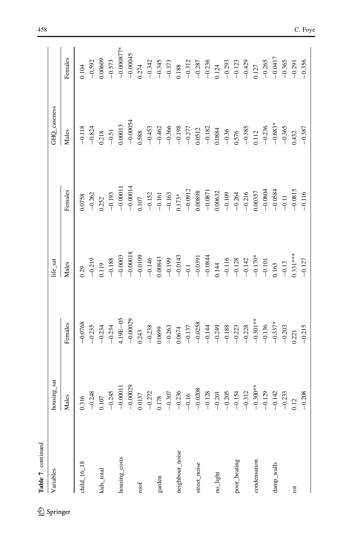| Table 7 continued |                                                                                                                                                                                                                                                                                                                    |                                                                                                                                                                                                                                                                                                 |                                                                                                                                                                                                                                                                    |                                                                                                                                                                                                                                                                                                                           |                                                                                                                                                                                                                                                                            |                                                                                                                                                                                                                                                                          |
|-------------------|--------------------------------------------------------------------------------------------------------------------------------------------------------------------------------------------------------------------------------------------------------------------------------------------------------------------|-------------------------------------------------------------------------------------------------------------------------------------------------------------------------------------------------------------------------------------------------------------------------------------------------|--------------------------------------------------------------------------------------------------------------------------------------------------------------------------------------------------------------------------------------------------------------------|---------------------------------------------------------------------------------------------------------------------------------------------------------------------------------------------------------------------------------------------------------------------------------------------------------------------------|----------------------------------------------------------------------------------------------------------------------------------------------------------------------------------------------------------------------------------------------------------------------------|--------------------------------------------------------------------------------------------------------------------------------------------------------------------------------------------------------------------------------------------------------------------------|
| Variables         | housing_sat                                                                                                                                                                                                                                                                                                        |                                                                                                                                                                                                                                                                                                 | life_sat                                                                                                                                                                                                                                                           |                                                                                                                                                                                                                                                                                                                           | GHQ_caseness                                                                                                                                                                                                                                                               |                                                                                                                                                                                                                                                                          |
|                   | Males                                                                                                                                                                                                                                                                                                              | Females                                                                                                                                                                                                                                                                                         | Males                                                                                                                                                                                                                                                              | Females                                                                                                                                                                                                                                                                                                                   | Males                                                                                                                                                                                                                                                                      | Females                                                                                                                                                                                                                                                                  |
| child $16.18$     |                                                                                                                                                                                                                                                                                                                    | $-0.0768$                                                                                                                                                                                                                                                                                       | 0.29                                                                                                                                                                                                                                                               | 1.0758                                                                                                                                                                                                                                                                                                                    | $-0.118$                                                                                                                                                                                                                                                                   | 0.104                                                                                                                                                                                                                                                                    |
|                   |                                                                                                                                                                                                                                                                                                                    | $-0.235$                                                                                                                                                                                                                                                                                        |                                                                                                                                                                                                                                                                    | $-0.262$                                                                                                                                                                                                                                                                                                                  | $-0.824$                                                                                                                                                                                                                                                                   |                                                                                                                                                                                                                                                                          |
| kids_total        | $\begin{array}{r} 1.16 \\ -0.248 \\ -0.0011 \\ -0.00013 \\ -0.00039 \\ -0.00039 \\ -0.00039 \\ -0.0137 \\ -0.0137 \\ -0.00039 \\ -0.000039 \\ -0.00000 \\ -0.00000 \\ -0.00000 \\ -0.00000 \\ -0.0000 \\ -0.0000 \\ -0.0000 \\ -0.0000 \\ -0.0000 \\ -0.0000 \\ -0.0000 \\ -0.0000 \\ -0.0000 \\ -0.0000 \\ -0.00$ |                                                                                                                                                                                                                                                                                                 | $\begin{array}{r} -0.219 \\ 0.119 \\ -0.188 \\ -0.0003 \\ -0.0003 \\ -0.0003 \\ -0.0003 \\ -0.0003 \\ -0.0034 \\ -0.0034 \\ -0.0039 \\ -0.0034 \\ -0.0039 \\ -0.0034 \\ -0.128 \\ -0.128 \\ -0.123 \\ -0.133 \\ \vdots \\ -0.150 \\ -0.15 \\ 0.331 \\ \end{array}$ | $\begin{array}{r} 0.252 \\ -0.193 \\ -0.00011 \\ -0.00014 \\ 0.107 \\ -0.152 \\ -0.152 \\ -0.161 \\ -0.161 \\ -0.163 \\ -0.0912 \\ -0.0912 \\ 0.00898 \\ 0.00898 \\ \end{array}$                                                                                                                                          |                                                                                                                                                                                                                                                                            | $-0.592$<br>$-0.00065$<br>$-0.573$<br>$-0.00045$<br>$-0.00045$<br>$-0.00045$<br>$-0.374$<br>$-0.373$<br>$-0.373$<br>$-0.373$<br>$-0.373$<br>$-0.373$<br>$-0.373$<br>$-0.373$<br>$-0.373$<br>$-0.373$<br>$-0.373$<br>$-0.373$<br>$-0.373$<br>$-0.373$<br>$-0.373$<br>$-0$ |
|                   |                                                                                                                                                                                                                                                                                                                    | $-0.234$<br>$-0.234$<br>$4.19E-05$<br>$-0.00029$<br>$0.243$                                                                                                                                                                                                                                     |                                                                                                                                                                                                                                                                    |                                                                                                                                                                                                                                                                                                                           | $\begin{array}{r} 0.218 \ -0.51 \ 0.00013 \ -0.00054 \ -0.00054 \ 0.588 \end{array}$                                                                                                                                                                                       |                                                                                                                                                                                                                                                                          |
| housing_costs     |                                                                                                                                                                                                                                                                                                                    |                                                                                                                                                                                                                                                                                                 |                                                                                                                                                                                                                                                                    |                                                                                                                                                                                                                                                                                                                           |                                                                                                                                                                                                                                                                            |                                                                                                                                                                                                                                                                          |
|                   |                                                                                                                                                                                                                                                                                                                    |                                                                                                                                                                                                                                                                                                 |                                                                                                                                                                                                                                                                    |                                                                                                                                                                                                                                                                                                                           |                                                                                                                                                                                                                                                                            |                                                                                                                                                                                                                                                                          |
| roof              |                                                                                                                                                                                                                                                                                                                    |                                                                                                                                                                                                                                                                                                 |                                                                                                                                                                                                                                                                    |                                                                                                                                                                                                                                                                                                                           |                                                                                                                                                                                                                                                                            |                                                                                                                                                                                                                                                                          |
|                   |                                                                                                                                                                                                                                                                                                                    |                                                                                                                                                                                                                                                                                                 |                                                                                                                                                                                                                                                                    |                                                                                                                                                                                                                                                                                                                           |                                                                                                                                                                                                                                                                            |                                                                                                                                                                                                                                                                          |
| garden            |                                                                                                                                                                                                                                                                                                                    | $\begin{array}{r} 0.238 \\ 0.0699 \\ 0.0674 \\ 0.0674 \\ 0.0743 \\ 0.0743 \\ 0.0743 \\ 0.0743 \\ 0.0743 \\ 0.0743 \\ 0.0743 \\ 0.0743 \\ 0.0743 \\ 0.0743 \\ 0.0743 \\ 0.0743 \\ 0.0743 \\ 0.021 \\ 0.021 \\ 0.021 \\ 0.021 \\ 0.021 \\ 0.021 \\ 0.021 \\ 0.021 \\ 0.021 \\ 0.022 \\ 0.023 \\ $ |                                                                                                                                                                                                                                                                    |                                                                                                                                                                                                                                                                                                                           | $\begin{array}{cccccc}\n 0.453 & 0.453 & 0.453 & 0.453 & 0.453 & 0.453 & 0.453 & 0.453 & 0.453 & 0.453 & 0.453 & 0.453 & 0.453 & 0.453 & 0.453 & 0.453 & 0.453 & 0.453 & 0.453 & 0.453 & 0.453 & 0.453 & 0.453 & 0.453 & 0.453 & 0.453 & 0.453 & 0.453 & 0.453 & 0.453 & $ |                                                                                                                                                                                                                                                                          |
|                   |                                                                                                                                                                                                                                                                                                                    |                                                                                                                                                                                                                                                                                                 |                                                                                                                                                                                                                                                                    |                                                                                                                                                                                                                                                                                                                           |                                                                                                                                                                                                                                                                            |                                                                                                                                                                                                                                                                          |
| neighbour_noise   |                                                                                                                                                                                                                                                                                                                    |                                                                                                                                                                                                                                                                                                 |                                                                                                                                                                                                                                                                    |                                                                                                                                                                                                                                                                                                                           |                                                                                                                                                                                                                                                                            |                                                                                                                                                                                                                                                                          |
|                   |                                                                                                                                                                                                                                                                                                                    |                                                                                                                                                                                                                                                                                                 |                                                                                                                                                                                                                                                                    |                                                                                                                                                                                                                                                                                                                           |                                                                                                                                                                                                                                                                            |                                                                                                                                                                                                                                                                          |
| street_noise      |                                                                                                                                                                                                                                                                                                                    |                                                                                                                                                                                                                                                                                                 |                                                                                                                                                                                                                                                                    |                                                                                                                                                                                                                                                                                                                           |                                                                                                                                                                                                                                                                            |                                                                                                                                                                                                                                                                          |
|                   |                                                                                                                                                                                                                                                                                                                    |                                                                                                                                                                                                                                                                                                 |                                                                                                                                                                                                                                                                    |                                                                                                                                                                                                                                                                                                                           |                                                                                                                                                                                                                                                                            |                                                                                                                                                                                                                                                                          |
| no_light          |                                                                                                                                                                                                                                                                                                                    |                                                                                                                                                                                                                                                                                                 |                                                                                                                                                                                                                                                                    | $\begin{array}{r} -0.0871 \\ -0.0632 \\ -0.109 \\ -0.216 \\ -0.216 \\ -0.0357 \\ -0.0834 \\ -0.0834 \\ -0.0815 \\ -0.11 \\ -0.0815 \\ -0.0815 \\ -0.0815 \\ -0.0815 \\ -0.0815 \\ -0.0815 \\ -0.0815 \\ -0.0815 \\ -0.0815 \\ -0.0815 \\ -0.0815 \\ -0.0815 \\ -0.0815 \\ -0.0815 \\ -0.0815 \\ -0.0815 \\ -0.0815 \\ -0$ |                                                                                                                                                                                                                                                                            |                                                                                                                                                                                                                                                                          |
|                   |                                                                                                                                                                                                                                                                                                                    |                                                                                                                                                                                                                                                                                                 |                                                                                                                                                                                                                                                                    |                                                                                                                                                                                                                                                                                                                           |                                                                                                                                                                                                                                                                            |                                                                                                                                                                                                                                                                          |
| poor_heating      |                                                                                                                                                                                                                                                                                                                    |                                                                                                                                                                                                                                                                                                 |                                                                                                                                                                                                                                                                    |                                                                                                                                                                                                                                                                                                                           |                                                                                                                                                                                                                                                                            |                                                                                                                                                                                                                                                                          |
|                   |                                                                                                                                                                                                                                                                                                                    |                                                                                                                                                                                                                                                                                                 |                                                                                                                                                                                                                                                                    |                                                                                                                                                                                                                                                                                                                           |                                                                                                                                                                                                                                                                            |                                                                                                                                                                                                                                                                          |
| condensation      |                                                                                                                                                                                                                                                                                                                    |                                                                                                                                                                                                                                                                                                 |                                                                                                                                                                                                                                                                    |                                                                                                                                                                                                                                                                                                                           |                                                                                                                                                                                                                                                                            |                                                                                                                                                                                                                                                                          |
|                   |                                                                                                                                                                                                                                                                                                                    |                                                                                                                                                                                                                                                                                                 |                                                                                                                                                                                                                                                                    |                                                                                                                                                                                                                                                                                                                           |                                                                                                                                                                                                                                                                            |                                                                                                                                                                                                                                                                          |
| damp_walls        | $-0.129$<br>$-0.142$<br>$-0.233$                                                                                                                                                                                                                                                                                   |                                                                                                                                                                                                                                                                                                 |                                                                                                                                                                                                                                                                    |                                                                                                                                                                                                                                                                                                                           |                                                                                                                                                                                                                                                                            | $\begin{array}{r} -0.265 \\ -0.0417 \\ -0.365 \end{array}$                                                                                                                                                                                                               |
|                   |                                                                                                                                                                                                                                                                                                                    |                                                                                                                                                                                                                                                                                                 |                                                                                                                                                                                                                                                                    |                                                                                                                                                                                                                                                                                                                           |                                                                                                                                                                                                                                                                            |                                                                                                                                                                                                                                                                          |
| rot               | 0.12                                                                                                                                                                                                                                                                                                               |                                                                                                                                                                                                                                                                                                 |                                                                                                                                                                                                                                                                    |                                                                                                                                                                                                                                                                                                                           | 1432                                                                                                                                                                                                                                                                       | $-0.291$                                                                                                                                                                                                                                                                 |
|                   | $-0.208$                                                                                                                                                                                                                                                                                                           |                                                                                                                                                                                                                                                                                                 | $-0.127$                                                                                                                                                                                                                                                           |                                                                                                                                                                                                                                                                                                                           | $-0.387$                                                                                                                                                                                                                                                                   | $-0.356$                                                                                                                                                                                                                                                                 |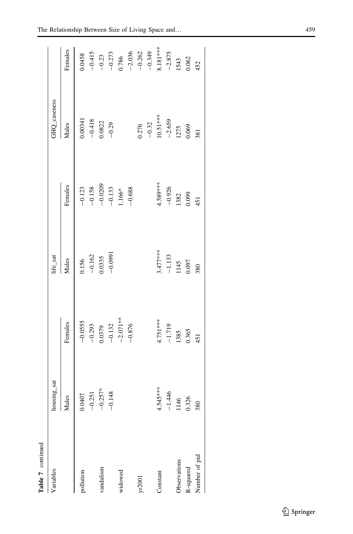| Table 7 continued |             |                                             |                                                          |                          |               |          |
|-------------------|-------------|---------------------------------------------|----------------------------------------------------------|--------------------------|---------------|----------|
| Variables         | housing_sat |                                             | life_sat                                                 |                          | GHQ_caseness  |          |
|                   | Males       | Females                                     | Males                                                    | Females                  | Males         | Females  |
| pollution         | 0.0407      |                                             |                                                          | $-0.123$                 | 0.00341       | 1.0458   |
|                   | $-0.251$    |                                             |                                                          | $-0.158$                 | $-0.418$      | $-0.415$ |
| vandalism         | $-0.257*$   | $-0.0555$<br>$-0.293$<br>0.0379<br>$-0.132$ | $\begin{array}{r} 0.156 \\ -0.162 \\ 0.0335 \end{array}$ | $-0.0209$<br>$-0.133$    | 0.0822        | $-0.23$  |
|                   | $-0.148$    |                                             | $-0.0991$                                                |                          | $-0.29$       | $-0.273$ |
| widowed           |             | $-2.071**$                                  |                                                          | $\frac{1.166^*}{-0.688}$ |               | 0.786    |
|                   |             | $-0.876$                                    |                                                          |                          |               | $-2.036$ |
| yr2001            |             |                                             |                                                          |                          | 0.276         | $-0.262$ |
|                   |             |                                             |                                                          |                          | $-0.32$       | $-0.349$ |
| Constant          | 4.545****   | 4.751***                                    | $3.477***$                                               | 4.589***                 | $10.51***$    | 8.181*** |
|                   | $-1.446$    | $-1.719$                                    | $-1.133$                                                 | $-0.926$                 | $-2.659$      | $-2.875$ |
| Observations      | 1146        | 1385                                        | 1145<br>0.097                                            | 1382                     | 1275<br>0.069 | 1543     |
| R-squared         | 0.326       | 0.365                                       |                                                          | 0.099                    |               | 0.062    |
| Number of pid     | 380         | 451                                         | 380                                                      | 451                      | 381           | 452      |
|                   |             |                                             |                                                          |                          |               |          |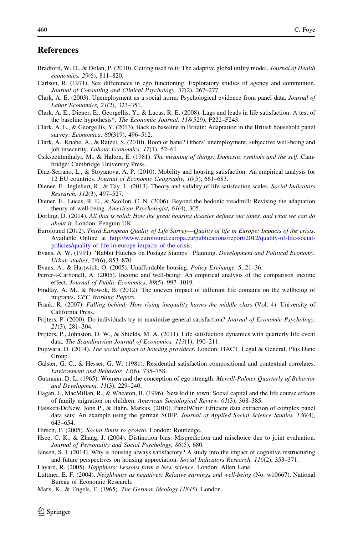# <span id="page-33-0"></span>**References**

- Bradford, W. D., & Dolan, P. (2010). Getting used to it: The adaptive global utility model. Journal of Health economics, 29(6), 811–820.
- Carlson, R. (1971). Sex differences in ego functioning: Exploratory studies of agency and communion. Journal of Consulting and Clinical Psychology, 37(2), 267–277.
- Clark, A. E. (2003). Unemployment as a social norm: Psychological evidence from panel data. Journal of Labor Economics, 21(2), 323–351.
- Clark, A. E., Diener, E., Georgellis, Y., & Lucas, R. E. (2008). Lags and leads in life satisfaction: A test of the baseline hypothesis\*. The Economic Journal, 118(529), F222–F243.
- Clark, A. E., & Georgellis, Y. (2013). Back to baseline in Britain: Adaptation in the British household panel survey. Economica, 80(319), 496-512.
- Clark, A., Knabe, A., & Rätzel, S. (2010). Boon or bane? Others' unemployment, subjective well-being and job insecurity. Labour Economics, 17(1), 52–61.
- Csikszentmihalyi, M., & Halton, E. (1981). The meaning of things: Domestic symbols and the self. Cambridge: Cambridge University Press.
- Diaz-Serrano, L., & Stoyanova, A. P. (2010). Mobility and housing satisfaction: An empirical analysis for 12 EU countries. Journal of Economic Geography, 10(5), 661–683.
- Diener, E., Inglehart, R., & Tay, L. (2013). Theory and validity of life satisfaction scales. Social Indicators Research, 112(3), 497–527.
- Diener, E., Lucas, R. E., & Scollon, C. N. (2006). Beyond the hedonic treadmill: Revising the adaptation theory of well-being. American Psychologist, 61(4), 305.
- Dorling, D. (2014). All that is solid: How the great housing disaster defines our times, and what we can do about it. London: Penguin UK.
- Eurofound (2012). Third European Quality of Life Survey—Quality of life in Europe: Impacts of the crisis. Available Online at [http://www.eurofound.europa.eu/publications/report/2012/quality-of-life-social](http://www.eurofound.europa.eu/publications/report/2012/quality-of-life-social-policies/quality-of-life-in-europe-impacts-of-the-crisis)[policies/quality-of-life-in-europe-impacts-of-the-crisis](http://www.eurofound.europa.eu/publications/report/2012/quality-of-life-social-policies/quality-of-life-in-europe-impacts-of-the-crisis).
- Evans, A. W. (1991). 'Rabbit Hutches on Postage Stamps': Planning. Development and Political Economy. Urban studies, 28(6), 853–870.
- Evans, A., & Hartwich, O. (2005). Unaffordable housing. Policy Exchange, 5, 21–36.
- Ferrer-i-Carbonell, A. (2005). Income and well-being: An empirical analysis of the comparison income effect. Journal of Public Economics, 89(5), 997–1019.
- Findlay, A. M., & Nowok, B. (2012). The uneven impact of different life domains on the wellbeing of migrants. CPC Working Papers.
- Frank, R. (2007). Falling behind: How rising inequality harms the middle class (Vol. 4). University of California Press.
- Frijters, P. (2000). Do individuals try to maximize general satisfaction? Journal of Economic Psychology, 21(3), 281–304.
- Frijters, P., Johnston, D. W., & Shields, M. A. (2011). Life satisfaction dynamics with quarterly life event data. The Scandinavian Journal of Economics, 113(1), 190–211.
- Fujiwara, D. (2014). The social impact of housing providers. London: HACT, Legal & General, Plus Dane Group.
- Galster, G. C., & Hesser, G. W. (1981). Residential satisfaction compositional and contextual correlates. Environment and Behavior, 13(6), 735–758.
- Gutmann, D. L. (1965). Women and the conception of ego strength. Merrill-Palmer Quarterly of Behavior and Development, 11(3), 229–240.
- Hagan, J., MacMillan, R., & Wheaton, B. (1996). New kid in town: Social capital and the life course effects of family migration on children. American Sociological Review, 61(3), 368–385.
- Haisken-DeNew, John P., & Hahn, Markus. (2010). PanelWhiz: Efficient data extraction of complex panel data sets: An example using the german SOEP. Journal of Applied Social Science Studies, 130(4), 643–654.
- Hirsch, F. (2005). Social limits to growth. London: Routledge.
- Hsee, C. K., & Zhang, J. (2004). Distinction bias: Misprediction and mischoice due to joint evaluation. Journal of Personality and Social Psychology, 86(5), 680.
- Jansen, S. J. (2014). Why is housing always satisfactory? A study into the impact of cognitive restructuring and future perspectives on housing appreciation. Social Indicators Research, 116(2), 353–371.
- Layard, R. (2005). Happiness: Lessons form a New science. London: Allen Lane.
- Luttmer, E. F. (2004). Neighbours as negatives: Relative earnings and well-being (No. w10667). National Bureau of Economic Research.
- Marx, K., & Engels, F. (1965). The German ideology (1845). London.